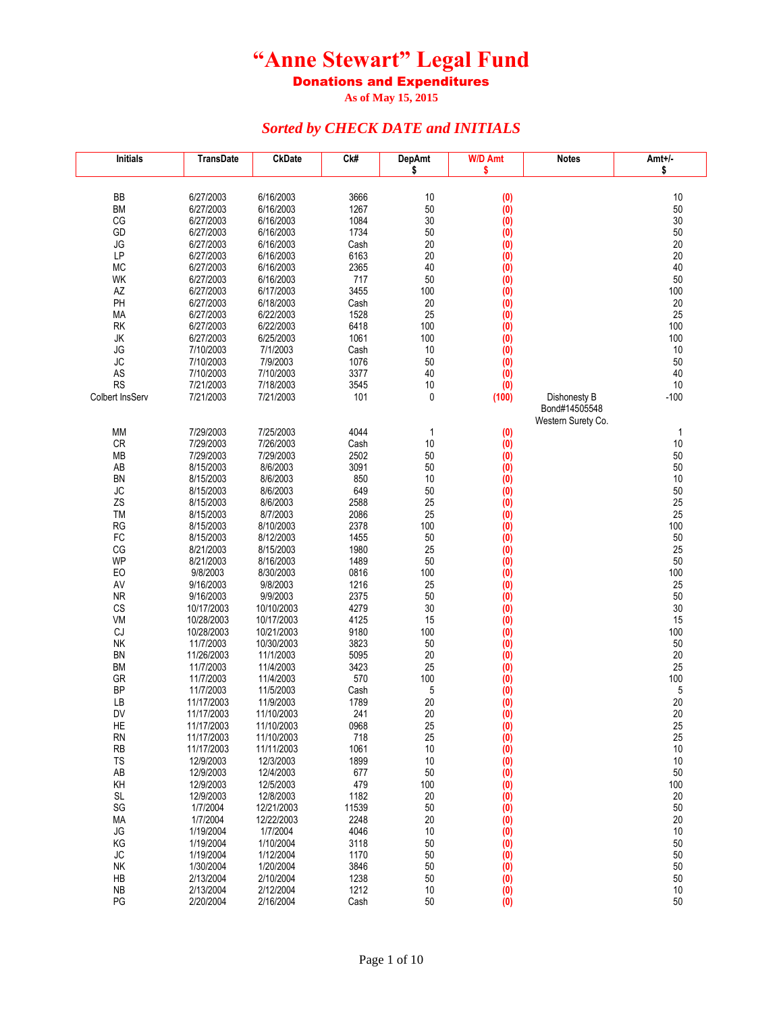Donations and Expenditures

**As of May 15, 2015**

| <b>Initials</b> | <b>TransDate</b>       | <b>CkDate</b>           | Ck#           | <b>DepAmt</b><br>\$ | <b>W/D Amt</b><br>\$    | <b>Notes</b>                  | Amt+/-<br>\$ |
|-----------------|------------------------|-------------------------|---------------|---------------------|-------------------------|-------------------------------|--------------|
|                 |                        |                         |               |                     |                         |                               |              |
| BB              | 6/27/2003              | 6/16/2003               | 3666          | 10                  | (0)                     |                               | 10           |
| <b>BM</b>       | 6/27/2003              | 6/16/2003               | 1267          | 50                  | (0)                     |                               | 50           |
| CG              | 6/27/2003              | 6/16/2003               | 1084          | 30                  | $\overline{(0)}$        |                               | 30           |
| GD              | 6/27/2003              | 6/16/2003               | 1734          | 50                  | (0)                     |                               | 50           |
| JG              | 6/27/2003              | 6/16/2003               | Cash          | 20                  | $\overline{(0)}$        |                               | 20           |
| LP              | 6/27/2003              | 6/16/2003               | 6163          | 20                  | $\overline{(0)}$        |                               | $20\,$       |
| <b>MC</b><br>WK | 6/27/2003<br>6/27/2003 | 6/16/2003               | 2365<br>717   | 40<br>50            | (0)                     |                               | 40           |
| AZ              | 6/27/2003              | 6/16/2003<br>6/17/2003  | 3455          | 100                 | (0)<br>(0)              |                               | 50<br>100    |
| PH              | 6/27/2003              | 6/18/2003               | Cash          | 20                  | (0)                     |                               | 20           |
| МA              | 6/27/2003              | 6/22/2003               | 1528          | 25                  | (0)                     |                               | 25           |
| <b>RK</b>       | 6/27/2003              | 6/22/2003               | 6418          | 100                 | (0)                     |                               | 100          |
| JK              | 6/27/2003              | 6/25/2003               | 1061          | 100                 | (0)                     |                               | 100          |
| JG              | 7/10/2003              | 7/1/2003                | Cash          | 10                  | $\overline{(0)}$        |                               | 10           |
| <b>JC</b>       | 7/10/2003              | 7/9/2003                | 1076          | 50                  | (0)                     |                               | 50           |
| AS              | 7/10/2003              | 7/10/2003               | 3377          | 40                  | (0)                     |                               | 40           |
| <b>RS</b>       | 7/21/2003              | 7/18/2003               | 3545          | 10                  | (0)                     |                               | 10           |
| Colbert InsServ | 7/21/2003              | 7/21/2003               | 101           | 0                   | (100)                   | Dishonesty B<br>Bond#14505548 | $-100$       |
|                 |                        |                         |               |                     |                         | Western Surety Co.            |              |
| MM              | 7/29/2003              | 7/25/2003               | 4044          | 1                   | (0)                     |                               | 1            |
| <b>CR</b>       | 7/29/2003              | 7/26/2003               | Cash          | 10                  | (0)                     |                               | 10           |
| <b>MB</b>       | 7/29/2003              | 7/29/2003               | 2502          | 50                  | (0)                     |                               | 50           |
| AB              | 8/15/2003              | 8/6/2003                | 3091          | 50                  | (0)                     |                               | 50           |
| <b>BN</b>       | 8/15/2003              | 8/6/2003                | 850           | 10                  | (0)                     |                               | $10$         |
| JC              | 8/15/2003              | 8/6/2003                | 649           | 50                  | $\overline{(0)}$        |                               | 50           |
| ZS              | 8/15/2003              | 8/6/2003                | 2588          | 25                  | (0)                     |                               | 25           |
| TM              | 8/15/2003              | 8/7/2003                | 2086          | 25                  | (0)                     |                               | 25           |
| RG              | 8/15/2003              | 8/10/2003               | 2378          | 100                 | (0)                     |                               | 100          |
| FC<br>CG        | 8/15/2003              | 8/12/2003               | 1455          | 50<br>25            | (0)                     |                               | 50<br>25     |
| WP              | 8/21/2003<br>8/21/2003 | 8/15/2003<br>8/16/2003  | 1980<br>1489  | 50                  | (0)<br>(0)              |                               | 50           |
| EO              | 9/8/2003               | 8/30/2003               | 0816          | 100                 | (0)                     |                               | 100          |
| AV              | 9/16/2003              | 9/8/2003                | 1216          | 25                  | (0)                     |                               | 25           |
| <b>NR</b>       | 9/16/2003              | 9/9/2003                | 2375          | 50                  | (0)                     |                               | 50           |
| CS              | 10/17/2003             | 10/10/2003              | 4279          | 30                  | (0)                     |                               | 30           |
| VM              | 10/28/2003             | 10/17/2003              | 4125          | 15                  | $\overline{(0)}$        |                               | 15           |
| CJ              | 10/28/2003             | 10/21/2003              | 9180          | 100                 | (0)                     |                               | 100          |
| <b>NK</b>       | 11/7/2003              | 10/30/2003              | 3823          | 50                  | $\overline{(0)}$        |                               | 50           |
| <b>BN</b>       | 11/26/2003             | 11/1/2003               | 5095          | 20                  | (0)                     |                               | 20           |
| <b>BM</b>       | 11/7/2003              | 11/4/2003               | 3423<br>570   | 25<br>100           | (0)                     |                               | 25<br>100    |
| GR<br><b>BP</b> | 11/7/2003<br>11/7/2003 | 11/4/2003<br>11/5/2003  | Cash          | 5                   | (0)<br>$\overline{(0)}$ |                               | 5            |
| LB              | 11/17/2003             | 11/9/2003               | 1789          | 20                  | (0)                     |                               | 20           |
| DV              | 11/17/2003             | 11/10/2003              | 241           | 20                  | (0)                     |                               | 20           |
| HE              | 11/17/2003             | 11/10/2003              | 0968          | 25                  | (0)                     |                               | 25           |
| <b>RN</b>       | 11/17/2003             | 11/10/2003              | 718           | 25                  | (0)                     |                               | 25           |
| <b>RB</b>       | 11/17/2003             | 11/11/2003              | 1061          | 10                  | (0)                     |                               | 10           |
| <b>TS</b>       | 12/9/2003              | 12/3/2003               | 1899          | 10                  | (0)                     |                               | 10           |
| AB              | 12/9/2003              | 12/4/2003               | 677           | 50                  | (0)                     |                               | 50           |
| KH              | 12/9/2003              | 12/5/2003               | 479           | 100                 | (0)                     |                               | 100          |
| <b>SL</b><br>SG | 12/9/2003<br>1/7/2004  | 12/8/2003<br>12/21/2003 | 1182<br>11539 | 20<br>50            | (0)                     |                               | 20<br>50     |
| MA              | 1/7/2004               | 12/22/2003              | 2248          | 20                  | (0)<br>(0)              |                               | 20           |
| JG              | 1/19/2004              | 1/7/2004                | 4046          | 10                  | (0)                     |                               | 10           |
| KG              | 1/19/2004              | 1/10/2004               | 3118          | 50                  | (0)                     |                               | 50           |
| JС              | 1/19/2004              | 1/12/2004               | 1170          | 50                  | (0)                     |                               | 50           |
| NK              | 1/30/2004              | 1/20/2004               | 3846          | 50                  | (0)                     |                               | 50           |
| HB              | 2/13/2004              | 2/10/2004               | 1238          | 50                  | (0)                     |                               | 50           |
| <b>NB</b>       | 2/13/2004              | 2/12/2004               | 1212          | 10                  | (0)                     |                               | 10           |
| PG              | 2/20/2004              | 2/16/2004               | Cash          | 50                  | (0)                     |                               | 50           |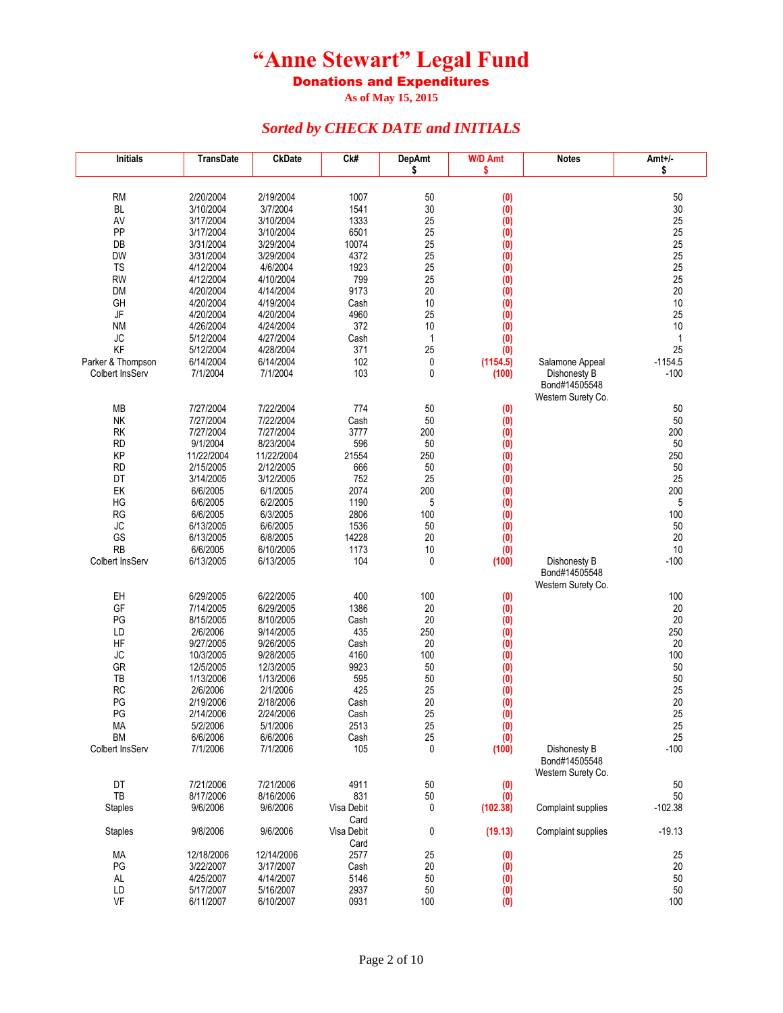Donations and Expenditures

**As of May 15, 2015**

| <b>RM</b><br>2/20/2004<br>2/19/2004<br>1007<br>50<br>(0)<br>50<br>30<br><b>BL</b><br>3/10/2004<br>3/7/2004<br>1541<br>(0)<br>30<br>3/17/2004<br>3/10/2004<br>1333<br>25<br>25<br>AV<br>(0)<br>PP<br>25<br>25<br>3/17/2004<br>3/10/2004<br>6501<br>(0)<br>25<br>25<br>DB<br>3/31/2004<br>3/29/2004<br>10074<br>(0)<br>25<br>25<br><b>DW</b><br>3/31/2004<br>3/29/2004<br>4372<br>$\ddot{0}$<br>1923<br>25<br>25<br><b>TS</b><br>4/12/2004<br>4/6/2004<br>(0)<br>799<br>25<br>25<br><b>RW</b><br>4/12/2004<br>4/10/2004<br>(0)<br>9173<br>20<br>20<br><b>DM</b><br>4/20/2004<br>4/14/2004<br>(0)<br>10<br>10<br>GH<br>4/20/2004<br>4/19/2004<br>(0)<br>Cash<br>JF<br>4960<br>25<br>4/20/2004<br>4/20/2004<br>25<br>(0)<br>372<br>10<br><b>NM</b><br>4/26/2004<br>4/24/2004<br>(0)<br>10<br>JC<br>5/12/2004<br>4/27/2004<br>1<br>$\mathbf{1}$<br>Cash<br>(0)<br>KF<br>25<br>25<br>371<br>5/12/2004<br>4/28/2004<br>(0)<br>102<br>0<br>$-1154.5$<br>Parker & Thompson<br>6/14/2004<br>6/14/2004<br>(1154.5)<br>Salamone Appeal<br>103<br>0<br>Colbert InsServ<br>7/1/2004<br>7/1/2004<br>$-100$<br>(100)<br>Dishonesty B<br>Bond#14505548<br>Western Surety Co.<br>7/27/2004<br>7/22/2004<br>774<br>50<br>50<br>МB<br>(0)<br><b>NK</b><br>7/27/2004<br>7/22/2004<br>50<br>50<br>Cash<br>(0)<br>3777<br><b>RK</b><br>7/27/2004<br>7/27/2004<br>200<br>(0)<br>200<br><b>RD</b><br>9/1/2004<br>8/23/2004<br>596<br>50<br>50<br>(0)<br>KP<br>11/22/2004<br>11/22/2004<br>21554<br>250<br>(0)<br>250<br>2/15/2005<br>2/12/2005<br>666<br>50<br>50<br>RD<br>(0)<br>DT<br>752<br>25<br>25<br>3/14/2005<br>3/12/2005<br>(0)<br>2074<br>200<br>200<br>EK<br>6/6/2005<br>6/1/2005<br>(0)<br>1190<br>5<br>5<br>HG<br>6/6/2005<br>6/2/2005<br>$\ddot{0}$<br><b>RG</b><br>6/6/2005<br>6/3/2005<br>2806<br>100<br>100<br>(0)<br>JC<br>6/6/2005<br>1536<br>50<br>(0)<br>50<br>6/13/2005<br>GS<br>14228<br>20<br>20<br>6/13/2005<br>6/8/2005<br>(0)<br>RB<br>10<br>6/6/2005<br>6/10/2005<br>1173<br>10<br>(0)<br>104<br>0<br>$-100$<br>Colbert InsServ<br>6/13/2005<br>6/13/2005<br>Dishonesty B<br>(100)<br>Bond#14505548<br>Western Surety Co.<br>EH<br>6/29/2005<br>6/22/2005<br>400<br>100<br>100<br>(0)<br>GF<br>7/14/2005<br>6/29/2005<br>1386<br>20<br>20<br>(0)<br>PG<br>8/10/2005<br>20<br>20<br>8/15/2005<br>Cash<br>(0)<br>LD<br>2/6/2006<br>9/14/2005<br>435<br>250<br>(0)<br>250<br>HF<br>9/27/2005<br>9/26/2005<br>20<br>20<br>Cash<br>(0)<br>JC<br>9/28/2005<br>4160<br>100<br>(0)<br>100<br>10/3/2005<br>GR<br>12/5/2005<br>12/3/2005<br>9923<br>50<br>50<br>(0)<br>TB<br>50<br>50<br>1/13/2006<br>1/13/2006<br>595<br>(0)<br><b>RC</b><br>2/1/2006<br>425<br>25<br>25<br>2/6/2006<br>(0)<br>20<br>PG<br>20<br>2/19/2006<br>2/18/2006<br>Cash<br>(0)<br>PG<br>25<br>(0)<br>25<br>2/14/2006<br>2/24/2006<br>Cash<br>МA<br>5/2/2006<br>5/1/2006<br>2513<br>25<br>(0)<br>25<br>25<br><b>BM</b><br>6/6/2006<br>6/6/2006<br>(0)<br>25<br>Cash<br>$\mathbf 0$<br>Colbert InsServ<br>7/1/2006<br>7/1/2006<br>105<br>$-100$<br>(100)<br>Dishonesty B<br>Bond#14505548<br>Western Surety Co.<br>DT<br>7/21/2006<br>7/21/2006<br>50<br>50<br>4911<br>(0)<br>TB<br>8/17/2006<br>8/16/2006<br>831<br>$50\,$<br>50<br>(0)<br>0<br>(102.38)<br>$-102.38$<br><b>Staples</b><br>9/6/2006<br>9/6/2006<br>Visa Debit<br>Complaint supplies<br>Card<br>0<br>(19.13)<br>$-19.13$<br><b>Staples</b><br>9/8/2006<br>9/6/2006<br>Visa Debit<br>Complaint supplies<br>Card<br>MA<br>2577<br>25<br>25<br>12/18/2006<br>12/14/2006<br>(0)<br>PG<br>20<br>20<br>3/22/2007<br>3/17/2007<br>Cash<br>(0)<br>5146<br>50<br>(0)<br>50<br>AL<br>4/25/2007<br>4/14/2007<br>2937<br>50<br>50<br>LD<br>5/17/2007<br>5/16/2007 | Initials | TransDate | <b>CkDate</b> | Ck# | <b>DepAmt</b> | <b>W/D Amt</b>                         | <b>Notes</b> | Amt+/- |
|---------------------------------------------------------------------------------------------------------------------------------------------------------------------------------------------------------------------------------------------------------------------------------------------------------------------------------------------------------------------------------------------------------------------------------------------------------------------------------------------------------------------------------------------------------------------------------------------------------------------------------------------------------------------------------------------------------------------------------------------------------------------------------------------------------------------------------------------------------------------------------------------------------------------------------------------------------------------------------------------------------------------------------------------------------------------------------------------------------------------------------------------------------------------------------------------------------------------------------------------------------------------------------------------------------------------------------------------------------------------------------------------------------------------------------------------------------------------------------------------------------------------------------------------------------------------------------------------------------------------------------------------------------------------------------------------------------------------------------------------------------------------------------------------------------------------------------------------------------------------------------------------------------------------------------------------------------------------------------------------------------------------------------------------------------------------------------------------------------------------------------------------------------------------------------------------------------------------------------------------------------------------------------------------------------------------------------------------------------------------------------------------------------------------------------------------------------------------------------------------------------------------------------------------------------------------------------------------------------------------------------------------------------------------------------------------------------------------------------------------------------------------------------------------------------------------------------------------------------------------------------------------------------------------------------------------------------------------------------------------------------------------------------------------------------------------------------------------------------------------------------------------------------------------------------------------------------------------------------------------------------------------------------------------------------------------------------------------------------------------------------------------------------------------------------------------------------------------------------------------------------------------------------------------------------------------------------------------------------------------------------------------------------------------------------------|----------|-----------|---------------|-----|---------------|----------------------------------------|--------------|--------|
|                                                                                                                                                                                                                                                                                                                                                                                                                                                                                                                                                                                                                                                                                                                                                                                                                                                                                                                                                                                                                                                                                                                                                                                                                                                                                                                                                                                                                                                                                                                                                                                                                                                                                                                                                                                                                                                                                                                                                                                                                                                                                                                                                                                                                                                                                                                                                                                                                                                                                                                                                                                                                                                                                                                                                                                                                                                                                                                                                                                                                                                                                                                                                                                                                                                                                                                                                                                                                                                                                                                                                                                                                                                                                       |          |           |               |     | \$            | \$                                     |              | \$     |
|                                                                                                                                                                                                                                                                                                                                                                                                                                                                                                                                                                                                                                                                                                                                                                                                                                                                                                                                                                                                                                                                                                                                                                                                                                                                                                                                                                                                                                                                                                                                                                                                                                                                                                                                                                                                                                                                                                                                                                                                                                                                                                                                                                                                                                                                                                                                                                                                                                                                                                                                                                                                                                                                                                                                                                                                                                                                                                                                                                                                                                                                                                                                                                                                                                                                                                                                                                                                                                                                                                                                                                                                                                                                                       |          |           |               |     |               |                                        |              |        |
|                                                                                                                                                                                                                                                                                                                                                                                                                                                                                                                                                                                                                                                                                                                                                                                                                                                                                                                                                                                                                                                                                                                                                                                                                                                                                                                                                                                                                                                                                                                                                                                                                                                                                                                                                                                                                                                                                                                                                                                                                                                                                                                                                                                                                                                                                                                                                                                                                                                                                                                                                                                                                                                                                                                                                                                                                                                                                                                                                                                                                                                                                                                                                                                                                                                                                                                                                                                                                                                                                                                                                                                                                                                                                       |          |           |               |     |               |                                        |              |        |
|                                                                                                                                                                                                                                                                                                                                                                                                                                                                                                                                                                                                                                                                                                                                                                                                                                                                                                                                                                                                                                                                                                                                                                                                                                                                                                                                                                                                                                                                                                                                                                                                                                                                                                                                                                                                                                                                                                                                                                                                                                                                                                                                                                                                                                                                                                                                                                                                                                                                                                                                                                                                                                                                                                                                                                                                                                                                                                                                                                                                                                                                                                                                                                                                                                                                                                                                                                                                                                                                                                                                                                                                                                                                                       |          |           |               |     |               |                                        |              |        |
|                                                                                                                                                                                                                                                                                                                                                                                                                                                                                                                                                                                                                                                                                                                                                                                                                                                                                                                                                                                                                                                                                                                                                                                                                                                                                                                                                                                                                                                                                                                                                                                                                                                                                                                                                                                                                                                                                                                                                                                                                                                                                                                                                                                                                                                                                                                                                                                                                                                                                                                                                                                                                                                                                                                                                                                                                                                                                                                                                                                                                                                                                                                                                                                                                                                                                                                                                                                                                                                                                                                                                                                                                                                                                       |          |           |               |     |               |                                        |              |        |
|                                                                                                                                                                                                                                                                                                                                                                                                                                                                                                                                                                                                                                                                                                                                                                                                                                                                                                                                                                                                                                                                                                                                                                                                                                                                                                                                                                                                                                                                                                                                                                                                                                                                                                                                                                                                                                                                                                                                                                                                                                                                                                                                                                                                                                                                                                                                                                                                                                                                                                                                                                                                                                                                                                                                                                                                                                                                                                                                                                                                                                                                                                                                                                                                                                                                                                                                                                                                                                                                                                                                                                                                                                                                                       |          |           |               |     |               |                                        |              |        |
|                                                                                                                                                                                                                                                                                                                                                                                                                                                                                                                                                                                                                                                                                                                                                                                                                                                                                                                                                                                                                                                                                                                                                                                                                                                                                                                                                                                                                                                                                                                                                                                                                                                                                                                                                                                                                                                                                                                                                                                                                                                                                                                                                                                                                                                                                                                                                                                                                                                                                                                                                                                                                                                                                                                                                                                                                                                                                                                                                                                                                                                                                                                                                                                                                                                                                                                                                                                                                                                                                                                                                                                                                                                                                       |          |           |               |     |               |                                        |              |        |
|                                                                                                                                                                                                                                                                                                                                                                                                                                                                                                                                                                                                                                                                                                                                                                                                                                                                                                                                                                                                                                                                                                                                                                                                                                                                                                                                                                                                                                                                                                                                                                                                                                                                                                                                                                                                                                                                                                                                                                                                                                                                                                                                                                                                                                                                                                                                                                                                                                                                                                                                                                                                                                                                                                                                                                                                                                                                                                                                                                                                                                                                                                                                                                                                                                                                                                                                                                                                                                                                                                                                                                                                                                                                                       |          |           |               |     |               |                                        |              |        |
|                                                                                                                                                                                                                                                                                                                                                                                                                                                                                                                                                                                                                                                                                                                                                                                                                                                                                                                                                                                                                                                                                                                                                                                                                                                                                                                                                                                                                                                                                                                                                                                                                                                                                                                                                                                                                                                                                                                                                                                                                                                                                                                                                                                                                                                                                                                                                                                                                                                                                                                                                                                                                                                                                                                                                                                                                                                                                                                                                                                                                                                                                                                                                                                                                                                                                                                                                                                                                                                                                                                                                                                                                                                                                       |          |           |               |     |               |                                        |              |        |
|                                                                                                                                                                                                                                                                                                                                                                                                                                                                                                                                                                                                                                                                                                                                                                                                                                                                                                                                                                                                                                                                                                                                                                                                                                                                                                                                                                                                                                                                                                                                                                                                                                                                                                                                                                                                                                                                                                                                                                                                                                                                                                                                                                                                                                                                                                                                                                                                                                                                                                                                                                                                                                                                                                                                                                                                                                                                                                                                                                                                                                                                                                                                                                                                                                                                                                                                                                                                                                                                                                                                                                                                                                                                                       |          |           |               |     |               |                                        |              |        |
|                                                                                                                                                                                                                                                                                                                                                                                                                                                                                                                                                                                                                                                                                                                                                                                                                                                                                                                                                                                                                                                                                                                                                                                                                                                                                                                                                                                                                                                                                                                                                                                                                                                                                                                                                                                                                                                                                                                                                                                                                                                                                                                                                                                                                                                                                                                                                                                                                                                                                                                                                                                                                                                                                                                                                                                                                                                                                                                                                                                                                                                                                                                                                                                                                                                                                                                                                                                                                                                                                                                                                                                                                                                                                       |          |           |               |     |               |                                        |              |        |
|                                                                                                                                                                                                                                                                                                                                                                                                                                                                                                                                                                                                                                                                                                                                                                                                                                                                                                                                                                                                                                                                                                                                                                                                                                                                                                                                                                                                                                                                                                                                                                                                                                                                                                                                                                                                                                                                                                                                                                                                                                                                                                                                                                                                                                                                                                                                                                                                                                                                                                                                                                                                                                                                                                                                                                                                                                                                                                                                                                                                                                                                                                                                                                                                                                                                                                                                                                                                                                                                                                                                                                                                                                                                                       |          |           |               |     |               |                                        |              |        |
|                                                                                                                                                                                                                                                                                                                                                                                                                                                                                                                                                                                                                                                                                                                                                                                                                                                                                                                                                                                                                                                                                                                                                                                                                                                                                                                                                                                                                                                                                                                                                                                                                                                                                                                                                                                                                                                                                                                                                                                                                                                                                                                                                                                                                                                                                                                                                                                                                                                                                                                                                                                                                                                                                                                                                                                                                                                                                                                                                                                                                                                                                                                                                                                                                                                                                                                                                                                                                                                                                                                                                                                                                                                                                       |          |           |               |     |               |                                        |              |        |
|                                                                                                                                                                                                                                                                                                                                                                                                                                                                                                                                                                                                                                                                                                                                                                                                                                                                                                                                                                                                                                                                                                                                                                                                                                                                                                                                                                                                                                                                                                                                                                                                                                                                                                                                                                                                                                                                                                                                                                                                                                                                                                                                                                                                                                                                                                                                                                                                                                                                                                                                                                                                                                                                                                                                                                                                                                                                                                                                                                                                                                                                                                                                                                                                                                                                                                                                                                                                                                                                                                                                                                                                                                                                                       |          |           |               |     |               |                                        |              |        |
|                                                                                                                                                                                                                                                                                                                                                                                                                                                                                                                                                                                                                                                                                                                                                                                                                                                                                                                                                                                                                                                                                                                                                                                                                                                                                                                                                                                                                                                                                                                                                                                                                                                                                                                                                                                                                                                                                                                                                                                                                                                                                                                                                                                                                                                                                                                                                                                                                                                                                                                                                                                                                                                                                                                                                                                                                                                                                                                                                                                                                                                                                                                                                                                                                                                                                                                                                                                                                                                                                                                                                                                                                                                                                       |          |           |               |     |               |                                        |              |        |
|                                                                                                                                                                                                                                                                                                                                                                                                                                                                                                                                                                                                                                                                                                                                                                                                                                                                                                                                                                                                                                                                                                                                                                                                                                                                                                                                                                                                                                                                                                                                                                                                                                                                                                                                                                                                                                                                                                                                                                                                                                                                                                                                                                                                                                                                                                                                                                                                                                                                                                                                                                                                                                                                                                                                                                                                                                                                                                                                                                                                                                                                                                                                                                                                                                                                                                                                                                                                                                                                                                                                                                                                                                                                                       |          |           |               |     |               |                                        |              |        |
|                                                                                                                                                                                                                                                                                                                                                                                                                                                                                                                                                                                                                                                                                                                                                                                                                                                                                                                                                                                                                                                                                                                                                                                                                                                                                                                                                                                                                                                                                                                                                                                                                                                                                                                                                                                                                                                                                                                                                                                                                                                                                                                                                                                                                                                                                                                                                                                                                                                                                                                                                                                                                                                                                                                                                                                                                                                                                                                                                                                                                                                                                                                                                                                                                                                                                                                                                                                                                                                                                                                                                                                                                                                                                       |          |           |               |     |               |                                        |              |        |
|                                                                                                                                                                                                                                                                                                                                                                                                                                                                                                                                                                                                                                                                                                                                                                                                                                                                                                                                                                                                                                                                                                                                                                                                                                                                                                                                                                                                                                                                                                                                                                                                                                                                                                                                                                                                                                                                                                                                                                                                                                                                                                                                                                                                                                                                                                                                                                                                                                                                                                                                                                                                                                                                                                                                                                                                                                                                                                                                                                                                                                                                                                                                                                                                                                                                                                                                                                                                                                                                                                                                                                                                                                                                                       |          |           |               |     |               |                                        |              |        |
|                                                                                                                                                                                                                                                                                                                                                                                                                                                                                                                                                                                                                                                                                                                                                                                                                                                                                                                                                                                                                                                                                                                                                                                                                                                                                                                                                                                                                                                                                                                                                                                                                                                                                                                                                                                                                                                                                                                                                                                                                                                                                                                                                                                                                                                                                                                                                                                                                                                                                                                                                                                                                                                                                                                                                                                                                                                                                                                                                                                                                                                                                                                                                                                                                                                                                                                                                                                                                                                                                                                                                                                                                                                                                       |          |           |               |     |               |                                        |              |        |
|                                                                                                                                                                                                                                                                                                                                                                                                                                                                                                                                                                                                                                                                                                                                                                                                                                                                                                                                                                                                                                                                                                                                                                                                                                                                                                                                                                                                                                                                                                                                                                                                                                                                                                                                                                                                                                                                                                                                                                                                                                                                                                                                                                                                                                                                                                                                                                                                                                                                                                                                                                                                                                                                                                                                                                                                                                                                                                                                                                                                                                                                                                                                                                                                                                                                                                                                                                                                                                                                                                                                                                                                                                                                                       |          |           |               |     |               |                                        |              |        |
|                                                                                                                                                                                                                                                                                                                                                                                                                                                                                                                                                                                                                                                                                                                                                                                                                                                                                                                                                                                                                                                                                                                                                                                                                                                                                                                                                                                                                                                                                                                                                                                                                                                                                                                                                                                                                                                                                                                                                                                                                                                                                                                                                                                                                                                                                                                                                                                                                                                                                                                                                                                                                                                                                                                                                                                                                                                                                                                                                                                                                                                                                                                                                                                                                                                                                                                                                                                                                                                                                                                                                                                                                                                                                       |          |           |               |     |               |                                        |              |        |
|                                                                                                                                                                                                                                                                                                                                                                                                                                                                                                                                                                                                                                                                                                                                                                                                                                                                                                                                                                                                                                                                                                                                                                                                                                                                                                                                                                                                                                                                                                                                                                                                                                                                                                                                                                                                                                                                                                                                                                                                                                                                                                                                                                                                                                                                                                                                                                                                                                                                                                                                                                                                                                                                                                                                                                                                                                                                                                                                                                                                                                                                                                                                                                                                                                                                                                                                                                                                                                                                                                                                                                                                                                                                                       |          |           |               |     |               |                                        |              |        |
|                                                                                                                                                                                                                                                                                                                                                                                                                                                                                                                                                                                                                                                                                                                                                                                                                                                                                                                                                                                                                                                                                                                                                                                                                                                                                                                                                                                                                                                                                                                                                                                                                                                                                                                                                                                                                                                                                                                                                                                                                                                                                                                                                                                                                                                                                                                                                                                                                                                                                                                                                                                                                                                                                                                                                                                                                                                                                                                                                                                                                                                                                                                                                                                                                                                                                                                                                                                                                                                                                                                                                                                                                                                                                       |          |           |               |     |               |                                        |              |        |
|                                                                                                                                                                                                                                                                                                                                                                                                                                                                                                                                                                                                                                                                                                                                                                                                                                                                                                                                                                                                                                                                                                                                                                                                                                                                                                                                                                                                                                                                                                                                                                                                                                                                                                                                                                                                                                                                                                                                                                                                                                                                                                                                                                                                                                                                                                                                                                                                                                                                                                                                                                                                                                                                                                                                                                                                                                                                                                                                                                                                                                                                                                                                                                                                                                                                                                                                                                                                                                                                                                                                                                                                                                                                                       |          |           |               |     |               |                                        |              |        |
|                                                                                                                                                                                                                                                                                                                                                                                                                                                                                                                                                                                                                                                                                                                                                                                                                                                                                                                                                                                                                                                                                                                                                                                                                                                                                                                                                                                                                                                                                                                                                                                                                                                                                                                                                                                                                                                                                                                                                                                                                                                                                                                                                                                                                                                                                                                                                                                                                                                                                                                                                                                                                                                                                                                                                                                                                                                                                                                                                                                                                                                                                                                                                                                                                                                                                                                                                                                                                                                                                                                                                                                                                                                                                       |          |           |               |     |               |                                        |              |        |
|                                                                                                                                                                                                                                                                                                                                                                                                                                                                                                                                                                                                                                                                                                                                                                                                                                                                                                                                                                                                                                                                                                                                                                                                                                                                                                                                                                                                                                                                                                                                                                                                                                                                                                                                                                                                                                                                                                                                                                                                                                                                                                                                                                                                                                                                                                                                                                                                                                                                                                                                                                                                                                                                                                                                                                                                                                                                                                                                                                                                                                                                                                                                                                                                                                                                                                                                                                                                                                                                                                                                                                                                                                                                                       |          |           |               |     |               |                                        |              |        |
|                                                                                                                                                                                                                                                                                                                                                                                                                                                                                                                                                                                                                                                                                                                                                                                                                                                                                                                                                                                                                                                                                                                                                                                                                                                                                                                                                                                                                                                                                                                                                                                                                                                                                                                                                                                                                                                                                                                                                                                                                                                                                                                                                                                                                                                                                                                                                                                                                                                                                                                                                                                                                                                                                                                                                                                                                                                                                                                                                                                                                                                                                                                                                                                                                                                                                                                                                                                                                                                                                                                                                                                                                                                                                       |          |           |               |     |               |                                        |              |        |
|                                                                                                                                                                                                                                                                                                                                                                                                                                                                                                                                                                                                                                                                                                                                                                                                                                                                                                                                                                                                                                                                                                                                                                                                                                                                                                                                                                                                                                                                                                                                                                                                                                                                                                                                                                                                                                                                                                                                                                                                                                                                                                                                                                                                                                                                                                                                                                                                                                                                                                                                                                                                                                                                                                                                                                                                                                                                                                                                                                                                                                                                                                                                                                                                                                                                                                                                                                                                                                                                                                                                                                                                                                                                                       |          |           |               |     |               |                                        |              |        |
|                                                                                                                                                                                                                                                                                                                                                                                                                                                                                                                                                                                                                                                                                                                                                                                                                                                                                                                                                                                                                                                                                                                                                                                                                                                                                                                                                                                                                                                                                                                                                                                                                                                                                                                                                                                                                                                                                                                                                                                                                                                                                                                                                                                                                                                                                                                                                                                                                                                                                                                                                                                                                                                                                                                                                                                                                                                                                                                                                                                                                                                                                                                                                                                                                                                                                                                                                                                                                                                                                                                                                                                                                                                                                       |          |           |               |     |               |                                        |              |        |
|                                                                                                                                                                                                                                                                                                                                                                                                                                                                                                                                                                                                                                                                                                                                                                                                                                                                                                                                                                                                                                                                                                                                                                                                                                                                                                                                                                                                                                                                                                                                                                                                                                                                                                                                                                                                                                                                                                                                                                                                                                                                                                                                                                                                                                                                                                                                                                                                                                                                                                                                                                                                                                                                                                                                                                                                                                                                                                                                                                                                                                                                                                                                                                                                                                                                                                                                                                                                                                                                                                                                                                                                                                                                                       |          |           |               |     |               |                                        |              |        |
|                                                                                                                                                                                                                                                                                                                                                                                                                                                                                                                                                                                                                                                                                                                                                                                                                                                                                                                                                                                                                                                                                                                                                                                                                                                                                                                                                                                                                                                                                                                                                                                                                                                                                                                                                                                                                                                                                                                                                                                                                                                                                                                                                                                                                                                                                                                                                                                                                                                                                                                                                                                                                                                                                                                                                                                                                                                                                                                                                                                                                                                                                                                                                                                                                                                                                                                                                                                                                                                                                                                                                                                                                                                                                       |          |           |               |     |               |                                        |              |        |
|                                                                                                                                                                                                                                                                                                                                                                                                                                                                                                                                                                                                                                                                                                                                                                                                                                                                                                                                                                                                                                                                                                                                                                                                                                                                                                                                                                                                                                                                                                                                                                                                                                                                                                                                                                                                                                                                                                                                                                                                                                                                                                                                                                                                                                                                                                                                                                                                                                                                                                                                                                                                                                                                                                                                                                                                                                                                                                                                                                                                                                                                                                                                                                                                                                                                                                                                                                                                                                                                                                                                                                                                                                                                                       |          |           |               |     |               |                                        |              |        |
|                                                                                                                                                                                                                                                                                                                                                                                                                                                                                                                                                                                                                                                                                                                                                                                                                                                                                                                                                                                                                                                                                                                                                                                                                                                                                                                                                                                                                                                                                                                                                                                                                                                                                                                                                                                                                                                                                                                                                                                                                                                                                                                                                                                                                                                                                                                                                                                                                                                                                                                                                                                                                                                                                                                                                                                                                                                                                                                                                                                                                                                                                                                                                                                                                                                                                                                                                                                                                                                                                                                                                                                                                                                                                       |          |           |               |     |               |                                        |              |        |
|                                                                                                                                                                                                                                                                                                                                                                                                                                                                                                                                                                                                                                                                                                                                                                                                                                                                                                                                                                                                                                                                                                                                                                                                                                                                                                                                                                                                                                                                                                                                                                                                                                                                                                                                                                                                                                                                                                                                                                                                                                                                                                                                                                                                                                                                                                                                                                                                                                                                                                                                                                                                                                                                                                                                                                                                                                                                                                                                                                                                                                                                                                                                                                                                                                                                                                                                                                                                                                                                                                                                                                                                                                                                                       |          |           |               |     |               |                                        |              |        |
|                                                                                                                                                                                                                                                                                                                                                                                                                                                                                                                                                                                                                                                                                                                                                                                                                                                                                                                                                                                                                                                                                                                                                                                                                                                                                                                                                                                                                                                                                                                                                                                                                                                                                                                                                                                                                                                                                                                                                                                                                                                                                                                                                                                                                                                                                                                                                                                                                                                                                                                                                                                                                                                                                                                                                                                                                                                                                                                                                                                                                                                                                                                                                                                                                                                                                                                                                                                                                                                                                                                                                                                                                                                                                       |          |           |               |     |               |                                        |              |        |
|                                                                                                                                                                                                                                                                                                                                                                                                                                                                                                                                                                                                                                                                                                                                                                                                                                                                                                                                                                                                                                                                                                                                                                                                                                                                                                                                                                                                                                                                                                                                                                                                                                                                                                                                                                                                                                                                                                                                                                                                                                                                                                                                                                                                                                                                                                                                                                                                                                                                                                                                                                                                                                                                                                                                                                                                                                                                                                                                                                                                                                                                                                                                                                                                                                                                                                                                                                                                                                                                                                                                                                                                                                                                                       |          |           |               |     |               |                                        |              |        |
|                                                                                                                                                                                                                                                                                                                                                                                                                                                                                                                                                                                                                                                                                                                                                                                                                                                                                                                                                                                                                                                                                                                                                                                                                                                                                                                                                                                                                                                                                                                                                                                                                                                                                                                                                                                                                                                                                                                                                                                                                                                                                                                                                                                                                                                                                                                                                                                                                                                                                                                                                                                                                                                                                                                                                                                                                                                                                                                                                                                                                                                                                                                                                                                                                                                                                                                                                                                                                                                                                                                                                                                                                                                                                       |          |           |               |     |               |                                        |              |        |
|                                                                                                                                                                                                                                                                                                                                                                                                                                                                                                                                                                                                                                                                                                                                                                                                                                                                                                                                                                                                                                                                                                                                                                                                                                                                                                                                                                                                                                                                                                                                                                                                                                                                                                                                                                                                                                                                                                                                                                                                                                                                                                                                                                                                                                                                                                                                                                                                                                                                                                                                                                                                                                                                                                                                                                                                                                                                                                                                                                                                                                                                                                                                                                                                                                                                                                                                                                                                                                                                                                                                                                                                                                                                                       |          |           |               |     |               |                                        |              |        |
|                                                                                                                                                                                                                                                                                                                                                                                                                                                                                                                                                                                                                                                                                                                                                                                                                                                                                                                                                                                                                                                                                                                                                                                                                                                                                                                                                                                                                                                                                                                                                                                                                                                                                                                                                                                                                                                                                                                                                                                                                                                                                                                                                                                                                                                                                                                                                                                                                                                                                                                                                                                                                                                                                                                                                                                                                                                                                                                                                                                                                                                                                                                                                                                                                                                                                                                                                                                                                                                                                                                                                                                                                                                                                       |          |           |               |     |               |                                        |              |        |
|                                                                                                                                                                                                                                                                                                                                                                                                                                                                                                                                                                                                                                                                                                                                                                                                                                                                                                                                                                                                                                                                                                                                                                                                                                                                                                                                                                                                                                                                                                                                                                                                                                                                                                                                                                                                                                                                                                                                                                                                                                                                                                                                                                                                                                                                                                                                                                                                                                                                                                                                                                                                                                                                                                                                                                                                                                                                                                                                                                                                                                                                                                                                                                                                                                                                                                                                                                                                                                                                                                                                                                                                                                                                                       |          |           |               |     |               |                                        |              |        |
|                                                                                                                                                                                                                                                                                                                                                                                                                                                                                                                                                                                                                                                                                                                                                                                                                                                                                                                                                                                                                                                                                                                                                                                                                                                                                                                                                                                                                                                                                                                                                                                                                                                                                                                                                                                                                                                                                                                                                                                                                                                                                                                                                                                                                                                                                                                                                                                                                                                                                                                                                                                                                                                                                                                                                                                                                                                                                                                                                                                                                                                                                                                                                                                                                                                                                                                                                                                                                                                                                                                                                                                                                                                                                       |          |           |               |     |               |                                        |              |        |
|                                                                                                                                                                                                                                                                                                                                                                                                                                                                                                                                                                                                                                                                                                                                                                                                                                                                                                                                                                                                                                                                                                                                                                                                                                                                                                                                                                                                                                                                                                                                                                                                                                                                                                                                                                                                                                                                                                                                                                                                                                                                                                                                                                                                                                                                                                                                                                                                                                                                                                                                                                                                                                                                                                                                                                                                                                                                                                                                                                                                                                                                                                                                                                                                                                                                                                                                                                                                                                                                                                                                                                                                                                                                                       |          |           |               |     |               |                                        |              |        |
|                                                                                                                                                                                                                                                                                                                                                                                                                                                                                                                                                                                                                                                                                                                                                                                                                                                                                                                                                                                                                                                                                                                                                                                                                                                                                                                                                                                                                                                                                                                                                                                                                                                                                                                                                                                                                                                                                                                                                                                                                                                                                                                                                                                                                                                                                                                                                                                                                                                                                                                                                                                                                                                                                                                                                                                                                                                                                                                                                                                                                                                                                                                                                                                                                                                                                                                                                                                                                                                                                                                                                                                                                                                                                       |          |           |               |     |               |                                        |              |        |
|                                                                                                                                                                                                                                                                                                                                                                                                                                                                                                                                                                                                                                                                                                                                                                                                                                                                                                                                                                                                                                                                                                                                                                                                                                                                                                                                                                                                                                                                                                                                                                                                                                                                                                                                                                                                                                                                                                                                                                                                                                                                                                                                                                                                                                                                                                                                                                                                                                                                                                                                                                                                                                                                                                                                                                                                                                                                                                                                                                                                                                                                                                                                                                                                                                                                                                                                                                                                                                                                                                                                                                                                                                                                                       |          |           |               |     |               |                                        |              |        |
|                                                                                                                                                                                                                                                                                                                                                                                                                                                                                                                                                                                                                                                                                                                                                                                                                                                                                                                                                                                                                                                                                                                                                                                                                                                                                                                                                                                                                                                                                                                                                                                                                                                                                                                                                                                                                                                                                                                                                                                                                                                                                                                                                                                                                                                                                                                                                                                                                                                                                                                                                                                                                                                                                                                                                                                                                                                                                                                                                                                                                                                                                                                                                                                                                                                                                                                                                                                                                                                                                                                                                                                                                                                                                       |          |           |               |     |               |                                        |              |        |
|                                                                                                                                                                                                                                                                                                                                                                                                                                                                                                                                                                                                                                                                                                                                                                                                                                                                                                                                                                                                                                                                                                                                                                                                                                                                                                                                                                                                                                                                                                                                                                                                                                                                                                                                                                                                                                                                                                                                                                                                                                                                                                                                                                                                                                                                                                                                                                                                                                                                                                                                                                                                                                                                                                                                                                                                                                                                                                                                                                                                                                                                                                                                                                                                                                                                                                                                                                                                                                                                                                                                                                                                                                                                                       |          |           |               |     |               |                                        |              |        |
|                                                                                                                                                                                                                                                                                                                                                                                                                                                                                                                                                                                                                                                                                                                                                                                                                                                                                                                                                                                                                                                                                                                                                                                                                                                                                                                                                                                                                                                                                                                                                                                                                                                                                                                                                                                                                                                                                                                                                                                                                                                                                                                                                                                                                                                                                                                                                                                                                                                                                                                                                                                                                                                                                                                                                                                                                                                                                                                                                                                                                                                                                                                                                                                                                                                                                                                                                                                                                                                                                                                                                                                                                                                                                       |          |           |               |     |               |                                        |              |        |
|                                                                                                                                                                                                                                                                                                                                                                                                                                                                                                                                                                                                                                                                                                                                                                                                                                                                                                                                                                                                                                                                                                                                                                                                                                                                                                                                                                                                                                                                                                                                                                                                                                                                                                                                                                                                                                                                                                                                                                                                                                                                                                                                                                                                                                                                                                                                                                                                                                                                                                                                                                                                                                                                                                                                                                                                                                                                                                                                                                                                                                                                                                                                                                                                                                                                                                                                                                                                                                                                                                                                                                                                                                                                                       |          |           |               |     |               |                                        |              |        |
|                                                                                                                                                                                                                                                                                                                                                                                                                                                                                                                                                                                                                                                                                                                                                                                                                                                                                                                                                                                                                                                                                                                                                                                                                                                                                                                                                                                                                                                                                                                                                                                                                                                                                                                                                                                                                                                                                                                                                                                                                                                                                                                                                                                                                                                                                                                                                                                                                                                                                                                                                                                                                                                                                                                                                                                                                                                                                                                                                                                                                                                                                                                                                                                                                                                                                                                                                                                                                                                                                                                                                                                                                                                                                       |          |           |               |     |               |                                        |              |        |
|                                                                                                                                                                                                                                                                                                                                                                                                                                                                                                                                                                                                                                                                                                                                                                                                                                                                                                                                                                                                                                                                                                                                                                                                                                                                                                                                                                                                                                                                                                                                                                                                                                                                                                                                                                                                                                                                                                                                                                                                                                                                                                                                                                                                                                                                                                                                                                                                                                                                                                                                                                                                                                                                                                                                                                                                                                                                                                                                                                                                                                                                                                                                                                                                                                                                                                                                                                                                                                                                                                                                                                                                                                                                                       |          |           |               |     |               |                                        |              |        |
|                                                                                                                                                                                                                                                                                                                                                                                                                                                                                                                                                                                                                                                                                                                                                                                                                                                                                                                                                                                                                                                                                                                                                                                                                                                                                                                                                                                                                                                                                                                                                                                                                                                                                                                                                                                                                                                                                                                                                                                                                                                                                                                                                                                                                                                                                                                                                                                                                                                                                                                                                                                                                                                                                                                                                                                                                                                                                                                                                                                                                                                                                                                                                                                                                                                                                                                                                                                                                                                                                                                                                                                                                                                                                       |          |           |               |     |               |                                        |              |        |
|                                                                                                                                                                                                                                                                                                                                                                                                                                                                                                                                                                                                                                                                                                                                                                                                                                                                                                                                                                                                                                                                                                                                                                                                                                                                                                                                                                                                                                                                                                                                                                                                                                                                                                                                                                                                                                                                                                                                                                                                                                                                                                                                                                                                                                                                                                                                                                                                                                                                                                                                                                                                                                                                                                                                                                                                                                                                                                                                                                                                                                                                                                                                                                                                                                                                                                                                                                                                                                                                                                                                                                                                                                                                                       |          |           |               |     |               |                                        |              |        |
|                                                                                                                                                                                                                                                                                                                                                                                                                                                                                                                                                                                                                                                                                                                                                                                                                                                                                                                                                                                                                                                                                                                                                                                                                                                                                                                                                                                                                                                                                                                                                                                                                                                                                                                                                                                                                                                                                                                                                                                                                                                                                                                                                                                                                                                                                                                                                                                                                                                                                                                                                                                                                                                                                                                                                                                                                                                                                                                                                                                                                                                                                                                                                                                                                                                                                                                                                                                                                                                                                                                                                                                                                                                                                       |          |           |               |     |               |                                        |              |        |
|                                                                                                                                                                                                                                                                                                                                                                                                                                                                                                                                                                                                                                                                                                                                                                                                                                                                                                                                                                                                                                                                                                                                                                                                                                                                                                                                                                                                                                                                                                                                                                                                                                                                                                                                                                                                                                                                                                                                                                                                                                                                                                                                                                                                                                                                                                                                                                                                                                                                                                                                                                                                                                                                                                                                                                                                                                                                                                                                                                                                                                                                                                                                                                                                                                                                                                                                                                                                                                                                                                                                                                                                                                                                                       |          |           |               |     |               |                                        |              |        |
|                                                                                                                                                                                                                                                                                                                                                                                                                                                                                                                                                                                                                                                                                                                                                                                                                                                                                                                                                                                                                                                                                                                                                                                                                                                                                                                                                                                                                                                                                                                                                                                                                                                                                                                                                                                                                                                                                                                                                                                                                                                                                                                                                                                                                                                                                                                                                                                                                                                                                                                                                                                                                                                                                                                                                                                                                                                                                                                                                                                                                                                                                                                                                                                                                                                                                                                                                                                                                                                                                                                                                                                                                                                                                       |          |           |               |     |               |                                        |              |        |
| 0931<br>100<br>100<br>6/10/2007<br>6/11/2007                                                                                                                                                                                                                                                                                                                                                                                                                                                                                                                                                                                                                                                                                                                                                                                                                                                                                                                                                                                                                                                                                                                                                                                                                                                                                                                                                                                                                                                                                                                                                                                                                                                                                                                                                                                                                                                                                                                                                                                                                                                                                                                                                                                                                                                                                                                                                                                                                                                                                                                                                                                                                                                                                                                                                                                                                                                                                                                                                                                                                                                                                                                                                                                                                                                                                                                                                                                                                                                                                                                                                                                                                                          | VF       |           |               |     |               | $\begin{pmatrix} 0 \\ 0 \end{pmatrix}$ |              |        |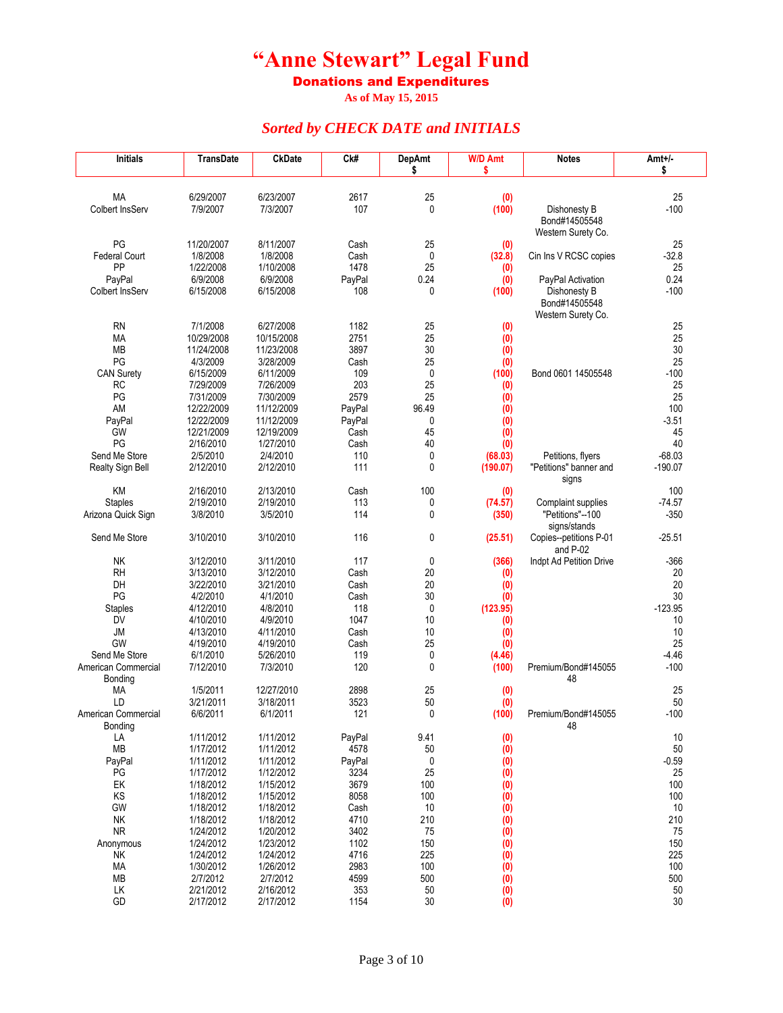Donations and Expenditures

**As of May 15, 2015**

| <b>Initials</b>            | TransDate                | <b>CkDate</b>            | Ck#            | <b>DepAmt</b> | <b>W/D Amt</b>        | <b>Notes</b>            | Amt+/-          |
|----------------------------|--------------------------|--------------------------|----------------|---------------|-----------------------|-------------------------|-----------------|
|                            |                          |                          |                | \$            | \$                    |                         | \$              |
| <b>MA</b>                  | 6/29/2007                | 6/23/2007                | 2617           | 25            | (0)                   |                         | 25              |
| Colbert InsServ            | 7/9/2007                 | 7/3/2007                 | 107            | 0             | (100)                 | Dishonesty B            | $-100$          |
|                            |                          |                          |                |               |                       | Bond#14505548           |                 |
|                            |                          |                          |                |               |                       | Western Surety Co.      |                 |
| PG                         | 11/20/2007               | 8/11/2007                | Cash           | 25            | (0)                   |                         | 25              |
| <b>Federal Court</b><br>PP | 1/8/2008<br>1/22/2008    | 1/8/2008<br>1/10/2008    | Cash<br>1478   | 0<br>25       | (32.8)<br>(0)         | Cin Ins V RCSC copies   | $-32.8$<br>25   |
| PayPal                     | 6/9/2008                 | 6/9/2008                 | PayPal         | 0.24          | (0)                   | PayPal Activation       | 0.24            |
| Colbert InsServ            | 6/15/2008                | 6/15/2008                | 108            | 0             | (100)                 | Dishonesty B            | $-100$          |
|                            |                          |                          |                |               |                       | Bond#14505548           |                 |
|                            |                          |                          |                |               |                       | Western Surety Co.      |                 |
| <b>RN</b><br>MA            | 7/1/2008<br>10/29/2008   | 6/27/2008<br>10/15/2008  | 1182<br>2751   | 25<br>25      | (0)<br>(0)            |                         | 25<br>25        |
| <b>MB</b>                  | 11/24/2008               | 11/23/2008               | 3897           | 30            | (0)                   |                         | 30              |
| PG                         | 4/3/2009                 | 3/28/2009                | Cash           | 25            | (0)                   |                         | 25              |
| <b>CAN Surety</b>          | 6/15/2009                | 6/11/2009                | 109            | 0             | (100)                 | Bond 0601 14505548      | $-100$          |
| RC                         | 7/29/2009                | 7/26/2009                | 203            | 25            | (0)                   |                         | 25              |
| PG                         | 7/31/2009                | 7/30/2009                | 2579           | 25            | (0)                   |                         | 25              |
| AM                         | 12/22/2009               | 11/12/2009               | PayPal         | 96.49<br>0    | (0)                   |                         | 100<br>$-3.51$  |
| PayPal<br>GW               | 12/22/2009<br>12/21/2009 | 11/12/2009<br>12/19/2009 | PayPal<br>Cash | 45            | (0)<br>(0)            |                         | 45              |
| PG                         | 2/16/2010                | 1/27/2010                | Cash           | 40            | (0)                   |                         | 40              |
| Send Me Store              | 2/5/2010                 | 2/4/2010                 | 110            | 0             | (68.03)               | Petitions, flyers       | $-68.03$        |
| Realty Sign Bell           | 2/12/2010                | 2/12/2010                | 111            | $\mathbf{0}$  | (190.07)              | "Petitions" banner and  | $-190.07$       |
|                            |                          |                          |                |               |                       | signs                   |                 |
| KM<br><b>Staples</b>       | 2/16/2010<br>2/19/2010   | 2/13/2010<br>2/19/2010   | Cash<br>113    | 100<br>0      | (0)<br>(74.57)        | Complaint supplies      | 100<br>$-74.57$ |
| Arizona Quick Sign         | 3/8/2010                 | 3/5/2010                 | 114            | 0             | (350)                 | "Petitions"--100        | $-350$          |
|                            |                          |                          |                |               |                       | signs/stands            |                 |
| Send Me Store              | 3/10/2010                | 3/10/2010                | 116            | 0             | (25.51)               | Copies--petitions P-01  | $-25.51$        |
|                            |                          |                          |                |               |                       | and P-02                |                 |
| <b>NK</b><br><b>RH</b>     | 3/12/2010<br>3/13/2010   | 3/11/2010<br>3/12/2010   | 117<br>Cash    | 0<br>20       | (366)<br>(0)          | Indpt Ad Petition Drive | $-366$<br>20    |
| DH                         | 3/22/2010                | 3/21/2010                | Cash           | 20            | (0)                   |                         | 20              |
| PG                         | 4/2/2010                 | 4/1/2010                 | Cash           | 30            | (0)                   |                         | 30              |
| <b>Staples</b>             | 4/12/2010                | 4/8/2010                 | 118            | 0             | (123.95)              |                         | $-123.95$       |
| DV                         | 4/10/2010                | 4/9/2010                 | 1047           | 10            | (0)                   |                         | 10              |
| JM                         | 4/13/2010                | 4/11/2010                | Cash           | 10            | (0)                   |                         | 10              |
| GW<br>Send Me Store        | 4/19/2010<br>6/1/2010    | 4/19/2010<br>5/26/2010   | Cash<br>119    | 25<br>0       | (0)<br>(4.46)         |                         | 25<br>$-4.46$   |
| American Commercial        | 7/12/2010                | 7/3/2010                 | 120            | 0             | (100)                 | Premium/Bond#145055     | $-100$          |
| Bonding                    |                          |                          |                |               |                       | 48                      |                 |
| МA                         | 1/5/2011                 | 12/27/2010               | 2898           | 25            | (0)                   |                         | 25              |
| LD                         | 3/21/2011                | 3/18/2011                | 3523           | 50            | (0)                   |                         | 50              |
| American Commercial        | 6/6/2011                 | 6/1/2011                 | 121            | 0             | (100)                 | Premium/Bond#145055     | $-100$          |
| Bonding<br>LA              | 1/11/2012                | 1/11/2012                | PayPal         | 9.41          | (0)                   | 48                      | 10              |
| MB                         | 1/17/2012                | 1/11/2012                | 4578           | 50            | (0)                   |                         | 50              |
| PayPal                     | 1/11/2012                | 1/11/2012                | PayPal         | 0             | (0)                   |                         | $-0.59$         |
| PG                         | 1/17/2012                | 1/12/2012                | 3234           | 25            | (0)                   |                         | 25              |
| EK                         | 1/18/2012                | 1/15/2012                | 3679           | 100           | (0)                   |                         | 100             |
| KS<br>GW                   | 1/18/2012<br>1/18/2012   | 1/15/2012<br>1/18/2012   | 8058<br>Cash   | 100<br>10     | (0)<br>(0)            |                         | 100<br>10       |
| NK                         | 1/18/2012                | 1/18/2012                | 4710           | 210           | (0)                   |                         | 210             |
| <b>NR</b>                  | 1/24/2012                | 1/20/2012                | 3402           | 75            | (0)                   |                         | 75              |
| Anonymous                  | 1/24/2012                | 1/23/2012                | 1102           | 150           | (0)                   |                         | 150             |
| NΚ                         | 1/24/2012                | 1/24/2012                | 4716           | 225           | $\overline{(0)}$      |                         | 225             |
| MA                         | 1/30/2012                | 1/26/2012                | 2983           | 100           | (0)                   |                         | 100             |
| MB<br>LК                   | 2/7/2012<br>2/21/2012    | 2/7/2012<br>2/16/2012    | 4599<br>353    | 500<br>50     | (0)                   |                         | 500<br>50       |
| GD                         | 2/17/2012                | 2/17/2012                | 1154           | 30            | (0)<br>$\mathfrak{g}$ |                         | 30              |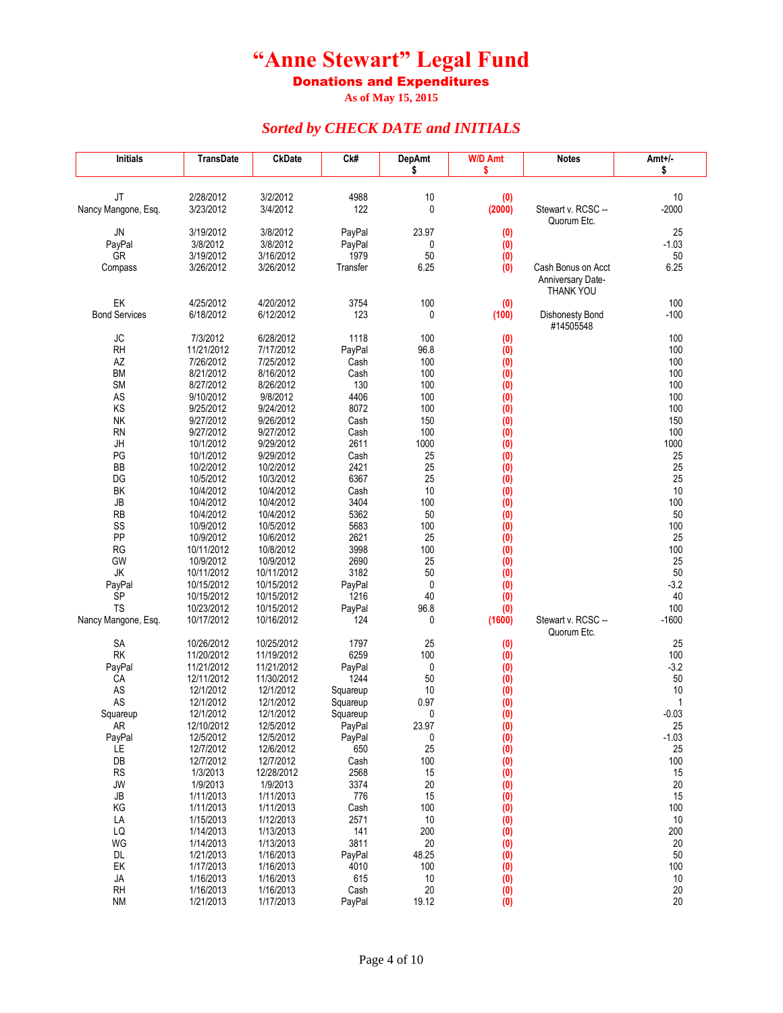Donations and Expenditures

**As of May 15, 2015**

| <b>Initials</b>      | TransDate                | <b>CkDate</b>            | Ck#            | <b>DepAmt</b><br>\$ | <b>W/D Amt</b><br>\$ | Notes                                 | Amt+/-<br>\$ |
|----------------------|--------------------------|--------------------------|----------------|---------------------|----------------------|---------------------------------------|--------------|
|                      |                          |                          |                |                     |                      |                                       |              |
| JT                   | 2/28/2012                | 3/2/2012                 | 4988           | 10                  | (0)                  |                                       | 10           |
| Nancy Mangone, Esq.  | 3/23/2012                | 3/4/2012                 | 122            | 0                   | (2000)               | Stewart v. RCSC --                    | $-2000$      |
|                      |                          |                          |                |                     |                      | Quorum Etc.                           |              |
| JN                   | 3/19/2012                | 3/8/2012                 | PayPal         | 23.97               | (0)                  |                                       | 25           |
| PayPal               | 3/8/2012                 | 3/8/2012                 | PayPal         | 0                   | (0)                  |                                       | $-1.03$      |
| GR                   | 3/19/2012                | 3/16/2012                | 1979           | 50                  | (0)                  |                                       | 50           |
| Compass              | 3/26/2012                | 3/26/2012                | Transfer       | 6.25                | (0)                  | Cash Bonus on Acct                    | 6.25         |
|                      |                          |                          |                |                     |                      | <b>Anniversary Date-</b><br>THANK YOU |              |
| EK                   | 4/25/2012                | 4/20/2012                | 3754           | 100                 | (0)                  |                                       | 100          |
| <b>Bond Services</b> | 6/18/2012                | 6/12/2012                | 123            | 0                   | (100)                | Dishonesty Bond                       | $-100$       |
|                      |                          |                          |                |                     |                      | #14505548                             |              |
| JC                   | 7/3/2012                 | 6/28/2012                | 1118           | 100                 | (0)                  |                                       | 100          |
| <b>RH</b>            | 11/21/2012               | 7/17/2012                | PayPal         | 96.8                | (0)                  |                                       | 100          |
| AZ<br><b>BM</b>      | 7/26/2012<br>8/21/2012   | 7/25/2012<br>8/16/2012   | Cash<br>Cash   | 100<br>100          | (0)<br>(0)           |                                       | 100<br>100   |
| <b>SM</b>            | 8/27/2012                | 8/26/2012                | 130            | 100                 | (0)                  |                                       | 100          |
| AS                   | 9/10/2012                | 9/8/2012                 | 4406           | 100                 | (0)                  |                                       | 100          |
| KS                   | 9/25/2012                | 9/24/2012                | 8072           | 100                 | (0)                  |                                       | 100          |
| NΚ                   | 9/27/2012                | 9/26/2012                | Cash           | 150                 | (0)                  |                                       | 150          |
| <b>RN</b>            | 9/27/2012                | 9/27/2012                | Cash           | 100                 | (0)                  |                                       | 100          |
| JH                   | 10/1/2012                | 9/29/2012                | 2611           | 1000                | (0)                  |                                       | 1000         |
| PG                   | 10/1/2012                | 9/29/2012                | Cash           | 25                  | (0)                  |                                       | 25           |
| BB                   | 10/2/2012                | 10/2/2012                | 2421           | 25                  | (0)                  |                                       | 25           |
| DG                   | 10/5/2012                | 10/3/2012                | 6367           | 25                  | (0)                  |                                       | 25           |
| BK                   | 10/4/2012                | 10/4/2012                | Cash           | 10                  | (0)                  |                                       | 10           |
| JB                   | 10/4/2012                | 10/4/2012                | 3404           | 100                 | (0)                  |                                       | 100          |
| <b>RB</b><br>SS      | 10/4/2012                | 10/4/2012                | 5362<br>5683   | 50<br>100           | (0)                  |                                       | 50<br>100    |
| PP                   | 10/9/2012<br>10/9/2012   | 10/5/2012<br>10/6/2012   | 2621           | 25                  | (0)<br>(0)           |                                       | 25           |
| <b>RG</b>            | 10/11/2012               | 10/8/2012                | 3998           | 100                 | (0)                  |                                       | 100          |
| GW                   | 10/9/2012                | 10/9/2012                | 2690           | 25                  | (0)                  |                                       | 25           |
| JK                   | 10/11/2012               | 10/11/2012               | 3182           | 50                  | (0)                  |                                       | 50           |
| PayPal               | 10/15/2012               | 10/15/2012               | PayPal         | $\mathbf{0}$        | (0)                  |                                       | $-3.2$       |
| SP                   | 10/15/2012               | 10/15/2012               | 1216           | 40                  | (0)                  |                                       | 40           |
| <b>TS</b>            | 10/23/2012               | 10/15/2012               | PayPal         | 96.8                | (0)                  |                                       | 100          |
| Nancy Mangone, Esq.  | 10/17/2012               | 10/16/2012               | 124            | 0                   | (1600)               | Stewart v. RCSC --                    | $-1600$      |
|                      |                          |                          |                |                     |                      | Quorum Etc.                           |              |
| SA                   | 10/26/2012               | 10/25/2012               | 1797           | 25                  | (0)                  |                                       | 25           |
| <b>RK</b>            | 11/20/2012               | 11/19/2012               | 6259           | 100                 | (0)                  |                                       | 100          |
| PayPal<br>СA         | 11/21/2012<br>12/11/2012 | 11/21/2012<br>11/30/2012 | PayPal<br>1244 | 0<br>50             | (0)<br>(0)           |                                       | $-3.2$<br>50 |
| AS                   | 12/1/2012                | 12/1/2012                | Squareup       | 10                  | (0)                  |                                       | 10           |
| AS                   | 12/1/2012                | 12/1/2012                | Squareup       | 0.97                | (0)                  |                                       | 1            |
| Squareup             | 12/1/2012                | 12/1/2012                | Squareup       | 0                   | (0)                  |                                       | $-0.03$      |
| AR                   | 12/10/2012               | 12/5/2012                | PayPal         | 23.97               | (0)                  |                                       | 25           |
| PayPal               | 12/5/2012                | 12/5/2012                | PayPal         | 0                   | (0)                  |                                       | $-1.03$      |
| LE                   | 12/7/2012                | 12/6/2012                | 650            | 25                  | (0)                  |                                       | 25           |
| DB                   | 12/7/2012                | 12/7/2012                | Cash           | 100                 | (0)                  |                                       | 100          |
| RS                   | 1/3/2013                 | 12/28/2012               | 2568           | 15                  | (0)                  |                                       | 15           |
| <b>JW</b>            | 1/9/2013                 | 1/9/2013                 | 3374           | 20                  | (0)                  |                                       | 20           |
| JB                   | 1/11/2013                | 1/11/2013<br>1/11/2013   | 776            | 15                  | (0)                  |                                       | 15           |
| ΚG<br>LA             | 1/11/2013<br>1/15/2013   | 1/12/2013                | Cash<br>2571   | 100<br>10           | (0)<br>(0)           |                                       | 100<br>10    |
| LQ                   | 1/14/2013                | 1/13/2013                | 141            | 200                 | (0)                  |                                       | 200          |
| WG                   | 1/14/2013                | 1/13/2013                | 3811           | 20                  | (0)                  |                                       | 20           |
| DL                   | 1/21/2013                | 1/16/2013                | PayPal         | 48.25               | (0)                  |                                       | 50           |
| EK                   | 1/17/2013                | 1/16/2013                | 4010           | 100                 | (0)                  |                                       | 100          |
| JA                   | 1/16/2013                | 1/16/2013                | 615            | 10                  | $\overline{(0)}$     |                                       | 10           |
| RH                   | 1/16/2013                | 1/16/2013                | Cash           | 20                  | (0)                  |                                       | 20           |
| <b>NM</b>            | 1/21/2013                | 1/17/2013                | PayPal         | 19.12               | $\ddot{0}$           |                                       | 20           |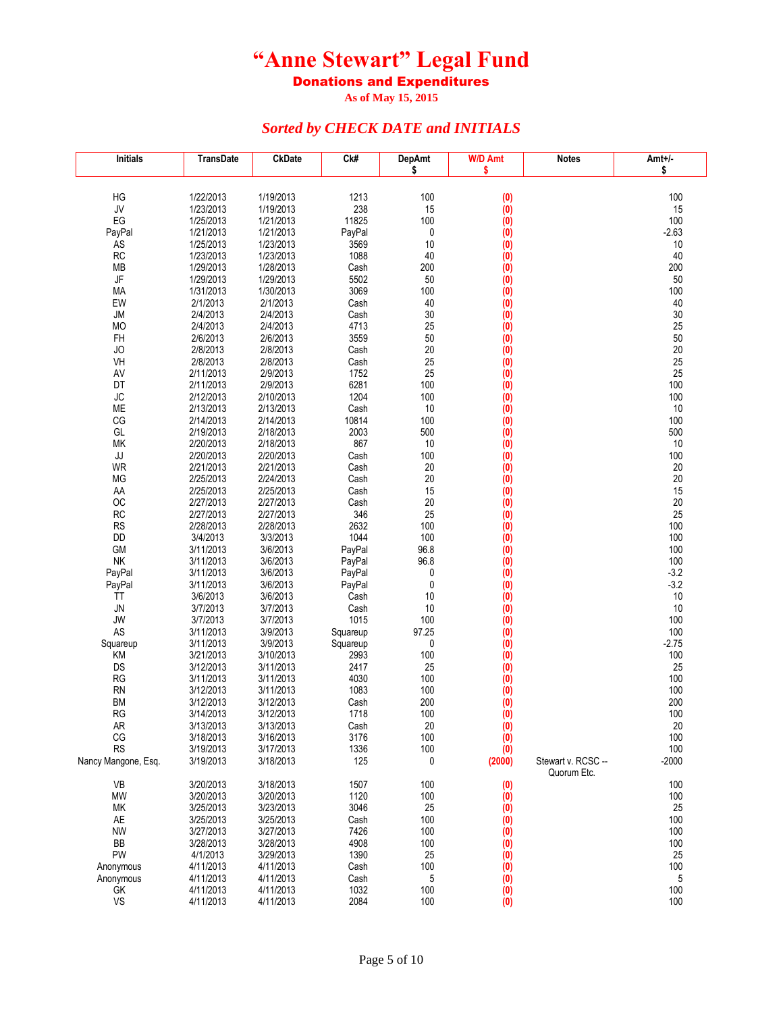Donations and Expenditures

**As of May 15, 2015**

| <b>Initials</b>        | TransDate              | <b>CkDate</b>          | Ck#            | <b>DepAmt</b>   | <b>W/D Amt</b>    | <b>Notes</b>                      | Amt+/-       |
|------------------------|------------------------|------------------------|----------------|-----------------|-------------------|-----------------------------------|--------------|
|                        |                        |                        |                | \$              | \$                |                                   | \$           |
|                        |                        |                        |                |                 |                   |                                   |              |
| HG<br>JV               | 1/22/2013<br>1/23/2013 | 1/19/2013<br>1/19/2013 | 1213<br>238    | 100<br>15       | (0)<br>(0)        |                                   | 100<br>15    |
| EG                     | 1/25/2013              | 1/21/2013              | 11825          | 100             | (0)               |                                   | 100          |
| PayPal                 | 1/21/2013              | 1/21/2013              | PayPal         | 0               | (0)               |                                   | $-2.63$      |
| <b>AS</b>              | 1/25/2013              | 1/23/2013              | 3569           | 10              | (0)               |                                   | 10           |
| RC                     | 1/23/2013              | 1/23/2013              | 1088           | 40              | (0)               |                                   | 40           |
| MB                     | 1/29/2013              | 1/28/2013              | Cash           | 200             | (0)               |                                   | 200          |
| $\mathsf{J}\mathsf{F}$ | 1/29/2013              | 1/29/2013              | 5502           | 50              | $\overline{(0)}$  |                                   | 50           |
| MA<br>EW               | 1/31/2013<br>2/1/2013  | 1/30/2013<br>2/1/2013  | 3069<br>Cash   | 100<br>40       | (0)<br>(0)        |                                   | 100<br>40    |
| JM                     | 2/4/2013               | 2/4/2013               | Cash           | 30              | (0)               |                                   | 30           |
| MO                     | 2/4/2013               | 2/4/2013               | 4713           | 25              | (0)               |                                   | 25           |
| FH                     | 2/6/2013               | 2/6/2013               | 3559           | 50              | (0)               |                                   | 50           |
| JO                     | 2/8/2013               | 2/8/2013               | Cash           | 20              | (0)               |                                   | 20           |
| VH                     | 2/8/2013               | 2/8/2013               | Cash           | 25              | (0)               |                                   | 25           |
| AV                     | 2/11/2013              | 2/9/2013               | 1752           | 25              | (0)               |                                   | 25           |
| DT<br><b>JC</b>        | 2/11/2013<br>2/12/2013 | 2/9/2013<br>2/10/2013  | 6281<br>1204   | 100<br>100      | (0)<br>(0)        |                                   | 100<br>100   |
| ME                     | 2/13/2013              | 2/13/2013              | Cash           | 10              | (0)               |                                   | 10           |
| CG                     | 2/14/2013              | 2/14/2013              | 10814          | 100             | (0)               |                                   | 100          |
| GL                     | 2/19/2013              | 2/18/2013              | 2003           | 500             | (0)               |                                   | 500          |
| MK                     | 2/20/2013              | 2/18/2013              | 867            | 10              | (0)               |                                   | 10           |
| JJ                     | 2/20/2013              | 2/20/2013              | Cash           | 100             | (0)               |                                   | 100          |
| WR                     | 2/21/2013              | 2/21/2013              | Cash           | 20              | (0)               |                                   | 20           |
| MG<br>AA               | 2/25/2013<br>2/25/2013 | 2/24/2013<br>2/25/2013 | Cash<br>Cash   | 20<br>15        | (0)               |                                   | 20<br>15     |
| OC                     | 2/27/2013              | 2/27/2013              | Cash           | 20              | (0)<br>$\ddot{0}$ |                                   | 20           |
| RC                     | 2/27/2013              | 2/27/2013              | 346            | 25              | (0)               |                                   | 25           |
| RS                     | 2/28/2013              | 2/28/2013              | 2632           | 100             | (0)               |                                   | 100          |
| <b>DD</b>              | 3/4/2013               | 3/3/2013               | 1044           | 100             | (0)               |                                   | 100          |
| GM                     | 3/11/2013              | 3/6/2013               | PayPal         | 96.8            | (0)               |                                   | 100          |
| NK                     | 3/11/2013              | 3/6/2013               | PayPal         | 96.8            | (0)               |                                   | 100          |
| PayPal                 | 3/11/2013              | 3/6/2013               | PayPal         | 0               | (0)               |                                   | $-3.2$       |
| PayPal<br>ΤT           | 3/11/2013<br>3/6/2013  | 3/6/2013<br>3/6/2013   | PayPal<br>Cash | $\pmb{0}$<br>10 | (0)<br>(0)        |                                   | $-3.2$<br>10 |
| <b>JN</b>              | 3/7/2013               | 3/7/2013               | Cash           | 10              | (0)               |                                   | 10           |
| JW                     | 3/7/2013               | 3/7/2013               | 1015           | 100             | (0)               |                                   | 100          |
| AS                     | 3/11/2013              | 3/9/2013               | Squareup       | 97.25           | (0)               |                                   | 100          |
| Squareup               | 3/11/2013              | 3/9/2013               | Squareup       | 0               | (0)               |                                   | $-2.75$      |
| KM                     | 3/21/2013              | 3/10/2013              | 2993           | 100             | (0)               |                                   | 100          |
| DS                     | 3/12/2013              | 3/11/2013              | 2417           | 25              | (0)               |                                   | 25           |
| <b>RG</b><br><b>RN</b> | 3/11/2013<br>3/12/2013 | 3/11/2013<br>3/11/2013 | 4030<br>1083   | 100<br>100      | (0)<br>(0)        |                                   | 100<br>100   |
| <b>BM</b>              | 3/12/2013              | 3/12/2013              | Cash           | 200             | (0)               |                                   | 200          |
| RG                     | 3/14/2013              | 3/12/2013              | 1718           | 100             | (0)               |                                   | 100          |
| AR                     | 3/13/2013              | 3/13/2013              | Cash           | 20              | (0)               |                                   | 20           |
| CG                     | 3/18/2013              | 3/16/2013              | 3176           | 100             | (0)               |                                   | 100          |
| <b>RS</b>              | 3/19/2013              | 3/17/2013              | 1336           | 100             | (0)               |                                   | 100          |
| Nancy Mangone, Esq.    | 3/19/2013              | 3/18/2013              | 125            | 0               | (2000)            | Stewart v. RCSC --<br>Quorum Etc. | $-2000$      |
| VB                     | 3/20/2013              | 3/18/2013              | 1507           | 100             | (0)               |                                   | 100          |
| MW                     | 3/20/2013              | 3/20/2013              | 1120           | 100             | (0)               |                                   | 100          |
| МK                     | 3/25/2013              | 3/23/2013              | 3046           | 25              | (0)               |                                   | 25           |
| AE                     | 3/25/2013              | 3/25/2013              | Cash           | 100             | (0)               |                                   | 100          |
| <b>NW</b><br>BB        | 3/27/2013<br>3/28/2013 | 3/27/2013<br>3/28/2013 | 7426<br>4908   | 100<br>100      | (0)               |                                   | 100<br>100   |
| PW                     | 4/1/2013               | 3/29/2013              | 1390           | 25              | (0)<br>(0)        |                                   | 25           |
| Anonymous              | 4/11/2013              | 4/11/2013              | Cash           | 100             | (0)               |                                   | 100          |
| Anonymous              | 4/11/2013              | 4/11/2013              | Cash           | 5               | $\overline{(0)}$  |                                   | 5            |
| GK                     | 4/11/2013              | 4/11/2013              | 1032           | 100             | (0)               |                                   | 100          |
| VS                     | 4/11/2013              | 4/11/2013              | 2084           | 100             | $\ddot{0}$        |                                   | 100          |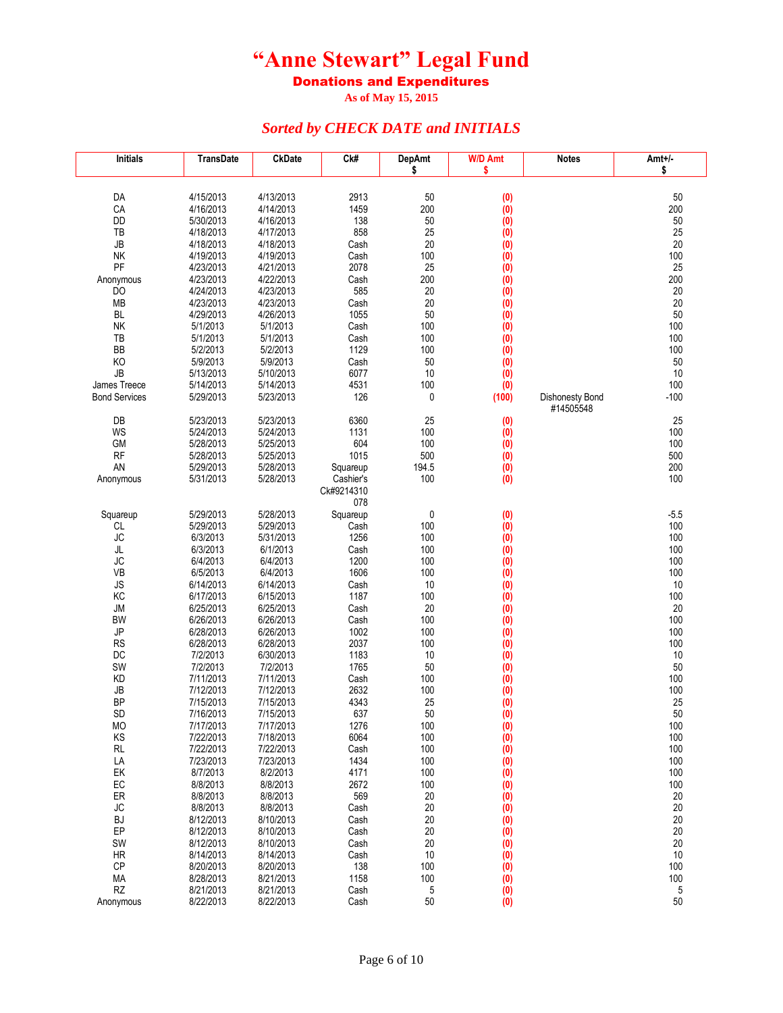Donations and Expenditures

**As of May 15, 2015**

| <b>Initials</b>      | <b>TransDate</b>     | <b>CkDate</b>        | Ck#              | <b>DepAmt</b> | <b>W/D Amt</b>   | <b>Notes</b>           | Amt+/-     |
|----------------------|----------------------|----------------------|------------------|---------------|------------------|------------------------|------------|
|                      |                      |                      |                  | \$            | \$               |                        | \$         |
| DA                   | 4/15/2013            | 4/13/2013            | 2913             | 50            | (0)              |                        | 50         |
| CA                   | 4/16/2013            | 4/14/2013            | 1459             | 200           | $\overline{(0)}$ |                        | 200        |
| DD                   | 5/30/2013            | 4/16/2013            | 138              | 50            | $\overline{(0)}$ |                        | 50         |
| TB                   | 4/18/2013            | 4/17/2013            | 858              | 25            | (0)              |                        | 25         |
| <b>JB</b>            | 4/18/2013            | 4/18/2013            | Cash             | 20            | $\overline{(0)}$ |                        | 20         |
| <b>NK</b>            | 4/19/2013            | 4/19/2013            | Cash             | 100           | $\overline{(0)}$ |                        | 100        |
| PF                   | 4/23/2013            | 4/21/2013            | 2078             | 25            | (0)              |                        | 25         |
| Anonymous            | 4/23/2013            | 4/22/2013            | Cash             | 200           | (0)              |                        | 200        |
| D <sub>O</sub>       | 4/24/2013            | 4/23/2013            | 585              | 20            | (0)              |                        | 20         |
| MB                   | 4/23/2013            | 4/23/2013            | Cash             | 20            | $\overline{(0)}$ |                        | 20         |
| BL                   | 4/29/2013            | 4/26/2013            | 1055             | 50            | (0)              |                        | 50         |
| NK                   | 5/1/2013             | 5/1/2013             | Cash             | 100           | $\overline{(0)}$ |                        | 100        |
| TB                   | 5/1/2013             | 5/1/2013             | Cash             | 100           | (0)              |                        | 100        |
| BB                   | 5/2/2013             | 5/2/2013             | 1129             | 100           | $\overline{(0)}$ |                        | 100        |
| KO                   | 5/9/2013             | 5/9/2013             | Cash             | 50            | (0)              |                        | 50         |
| <b>JB</b>            | 5/13/2013            | 5/10/2013            | 6077             | 10            | (0)              |                        | 10         |
| James Treece         | 5/14/2013            | 5/14/2013            | 4531             | 100           | (0)              |                        | 100        |
| <b>Bond Services</b> | 5/29/2013            | 5/23/2013            | 126              | 0             | (100)            | <b>Dishonesty Bond</b> | $-100$     |
|                      |                      |                      |                  |               |                  | #14505548              |            |
| DB                   | 5/23/2013            | 5/23/2013            | 6360             | 25            | (0)              |                        | 25         |
| WS                   | 5/24/2013            | 5/24/2013            | 1131             | 100           | (0)              |                        | 100        |
| <b>GM</b>            | 5/28/2013            | 5/25/2013            | 604              | 100           | (0)              |                        | 100        |
| <b>RF</b>            | 5/28/2013            | 5/25/2013            | 1015             | 500           | (0)              |                        | 500        |
| AN                   | 5/29/2013            | 5/28/2013            | Squareup         | 194.5         | (0)              |                        | 200        |
| Anonymous            | 5/31/2013            | 5/28/2013            | Cashier's        | 100           | (0)              |                        | 100        |
|                      |                      |                      | Ck#9214310       |               |                  |                        |            |
|                      | 5/29/2013            | 5/28/2013            | 078              | 0             |                  |                        | $-5.5$     |
| Squareup<br>CL       | 5/29/2013            | 5/29/2013            | Squareup<br>Cash | 100           | (0)<br>(0)       |                        | 100        |
| <b>JC</b>            | 6/3/2013             | 5/31/2013            | 1256             | 100           | (0)              |                        | 100        |
| JL                   | 6/3/2013             | 6/1/2013             | Cash             | 100           | (0)              |                        | 100        |
| JC                   | 6/4/2013             | 6/4/2013             | 1200             | 100           | (0)              |                        | 100        |
| VB                   | 6/5/2013             | 6/4/2013             | 1606             | 100           | (0)              |                        | 100        |
| JS                   | 6/14/2013            | 6/14/2013            | Cash             | 10            | (0)              |                        | 10         |
| KC                   | 6/17/2013            | 6/15/2013            | 1187             | 100           | $\overline{(0)}$ |                        | 100        |
| JM                   | 6/25/2013            | 6/25/2013            | Cash             | 20            | (0)              |                        | 20         |
| BW                   | 6/26/2013            | 6/26/2013            | Cash             | 100           | $\overline{(0)}$ |                        | 100        |
| JP                   | 6/28/2013            | 6/26/2013            | 1002             | 100           | (0)              |                        | 100        |
| <b>RS</b>            | 6/28/2013            | 6/28/2013            | 2037             | 100           | $\overline{(0)}$ |                        | 100        |
| DC                   | 7/2/2013             | 6/30/2013            | 1183             | 10            | (0)              |                        | 10         |
| SW                   | 7/2/2013             | 7/2/2013             | 1765             | 50            | (0)              |                        | 50         |
| KD                   | 7/11/2013            | 7/11/2013            | Cash             | 100           | (0)              |                        | 100        |
| JB                   | 7/12/2013            | 7/12/2013            | 2632             | 100           | $\overline{(0)}$ |                        | 100        |
| <b>BP</b>            | 7/15/2013            | 7/15/2013            | 4343             | 25            | (0)              |                        | 25         |
| SD                   | 7/16/2013            | 7/15/2013            | 637              | 50            | $\overline{(0)}$ |                        | 50         |
| МO                   | 7/17/2013            | 7/17/2013            | 1276             | 100           | (0)              |                        | 100        |
| KS                   | 7/22/2013            | 7/18/2013            | 6064             | 100           | (0)              |                        | 100        |
| RL                   | 7/22/2013            | 7/22/2013            | Cash             | 100           | (0)              |                        | 100        |
| LA                   | 7/23/2013            | 7/23/2013            | 1434             | 100           | (0)              |                        | 100        |
| EK                   | 8/7/2013             | 8/2/2013             | 4171             | 100           | (0)              |                        | 100        |
| EC                   | 8/8/2013             | 8/8/2013             | 2672             | 100           | (0)              |                        | 100        |
| ER<br>JC             | 8/8/2013<br>8/8/2013 | 8/8/2013<br>8/8/2013 | 569<br>Cash      | 20<br>20      | (0)<br>(0)       |                        | 20<br>20   |
| BJ                   | 8/12/2013            | 8/10/2013            | Cash             | 20            | (0)              |                        | 20         |
| EP                   | 8/12/2013            | 8/10/2013            | Cash             | 20            | (0)              |                        | 20         |
| SW                   | 8/12/2013            | 8/10/2013            | Cash             | 20            | (0)              |                        | 20         |
| HR                   | 8/14/2013            | 8/14/2013            | Cash             | 10            | (0)              |                        | 10         |
| <b>CP</b>            | 8/20/2013            | 8/20/2013            | 138              | 100           | (0)              |                        | 100        |
| MA                   | 8/28/2013            | 8/21/2013            | 1158             | 100           | (0)              |                        | 100        |
| <b>RZ</b>            | 8/21/2013            | 8/21/2013            | Cash             | 5             | (0)              |                        | $\sqrt{5}$ |
| Anonymous            | 8/22/2013            | 8/22/2013            | Cash             | 50            | (0)              |                        | 50         |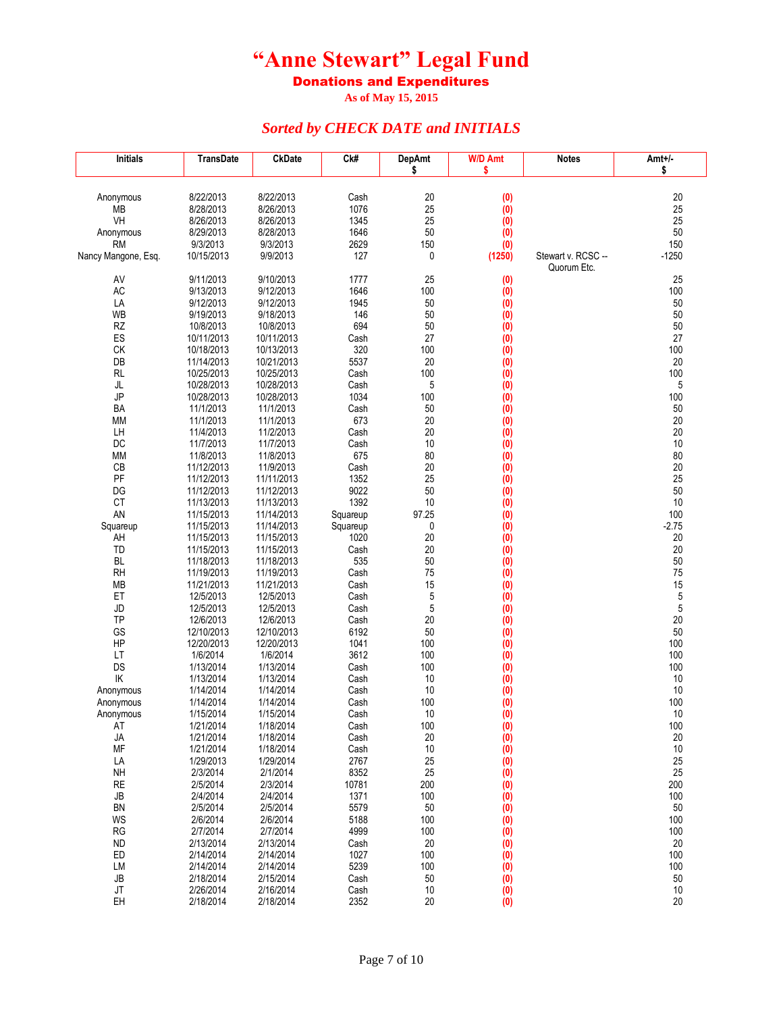Donations and Expenditures

**As of May 15, 2015**

| <b>Initials</b>     | <b>TransDate</b>         | <b>CkDate</b>            | Ck#          | <b>DepAmt</b> | <b>W/D Amt</b>         | <b>Notes</b>       | Amt+/-       |
|---------------------|--------------------------|--------------------------|--------------|---------------|------------------------|--------------------|--------------|
|                     |                          |                          |              | \$            | \$                     |                    | \$           |
|                     |                          |                          |              |               |                        |                    |              |
| Anonymous<br>МB     | 8/22/2013<br>8/28/2013   | 8/22/2013<br>8/26/2013   | Cash<br>1076 | 20<br>25      | (0)<br>(0)             |                    | 20<br>25     |
| VH                  | 8/26/2013                | 8/26/2013                | 1345         | 25            | (0)                    |                    | 25           |
| Anonymous           | 8/29/2013                | 8/28/2013                | 1646         | 50            | (0)                    |                    | 50           |
| <b>RM</b>           | 9/3/2013                 | 9/3/2013                 | 2629         | 150           | (0)                    |                    | 150          |
| Nancy Mangone, Esq. | 10/15/2013               | 9/9/2013                 | 127          | 0             | (1250)                 | Stewart v. RCSC -- | $-1250$      |
|                     |                          |                          |              |               |                        | Quorum Etc.        |              |
| AV<br>AC            | 9/11/2013<br>9/13/2013   | 9/10/2013<br>9/12/2013   | 1777<br>1646 | 25<br>100     | (0)                    |                    | 25<br>100    |
| LA                  | 9/12/2013                | 9/12/2013                | 1945         | 50            | (0)<br>$\ddot{\bm{0}}$ |                    | 50           |
| <b>WB</b>           | 9/19/2013                | 9/18/2013                | 146          | 50            | (0)                    |                    | 50           |
| RZ                  | 10/8/2013                | 10/8/2013                | 694          | 50            | (0)                    |                    | 50           |
| ES                  | 10/11/2013               | 10/11/2013               | Cash         | 27            | (0)                    |                    | 27           |
| CK                  | 10/18/2013               | 10/13/2013               | 320          | 100           | $\ddot{0}$             |                    | 100          |
| DB<br>RL            | 11/14/2013<br>10/25/2013 | 10/21/2013<br>10/25/2013 | 5537<br>Cash | 20<br>100     | (0)                    |                    | 20<br>100    |
| JL                  | 10/28/2013               | 10/28/2013               | Cash         | 5             | (0)<br>(0)             |                    | 5            |
| JP                  | 10/28/2013               | 10/28/2013               | 1034         | 100           | (0)                    |                    | 100          |
| BA                  | 11/1/2013                | 11/1/2013                | Cash         | 50            | (0)                    |                    | 50           |
| ΜМ                  | 11/1/2013                | 11/1/2013                | 673          | 20            | (0)                    |                    | 20           |
| LH                  | 11/4/2013                | 11/2/2013                | Cash         | 20            | (0)                    |                    | 20           |
| DC                  | 11/7/2013                | 11/7/2013                | Cash         | 10            | (0)                    |                    | 10           |
| <b>MM</b><br>CB     | 11/8/2013<br>11/12/2013  | 11/8/2013<br>11/9/2013   | 675<br>Cash  | 80<br>20      | (0)<br>(0)             |                    | 80<br>$20\,$ |
| PF                  | 11/12/2013               | 11/11/2013               | 1352         | 25            | (0)                    |                    | 25           |
| DG                  | 11/12/2013               | 11/12/2013               | 9022         | 50            | (0)                    |                    | 50           |
| CT                  | 11/13/2013               | 11/13/2013               | 1392         | $10$          | $\overline{(0)}$       |                    | 10           |
| AN                  | 11/15/2013               | 11/14/2013               | Squareup     | 97.25         | (0)                    |                    | 100          |
| Squareup            | 11/15/2013               | 11/14/2013               | Squareup     | 0             | (0)                    |                    | $-2.75$      |
| AH<br><b>TD</b>     | 11/15/2013<br>11/15/2013 | 11/15/2013<br>11/15/2013 | 1020<br>Cash | 20<br>20      | (0)<br>$\ddot{0}$      |                    | 20<br>20     |
| <b>BL</b>           | 11/18/2013               | 11/18/2013               | 535          | 50            | (0)                    |                    | 50           |
| <b>RH</b>           | 11/19/2013               | 11/19/2013               | Cash         | 75            | (0)                    |                    | 75           |
| МB                  | 11/21/2013               | 11/21/2013               | Cash         | 15            | (0)                    |                    | 15           |
| ET                  | 12/5/2013                | 12/5/2013                | Cash         | 5             | (0)                    |                    | 5            |
| JD                  | 12/5/2013                | 12/5/2013                | Cash         | 5             | (0)                    |                    | 5            |
| <b>TP</b><br>GS     | 12/6/2013<br>12/10/2013  | 12/6/2013<br>12/10/2013  | Cash<br>6192 | 20<br>50      | (0)                    |                    | 20<br>50     |
| HP                  | 12/20/2013               | 12/20/2013               | 1041         | 100           | (0)<br>(0)             |                    | 100          |
| LT                  | 1/6/2014                 | 1/6/2014                 | 3612         | 100           | (0)                    |                    | 100          |
| DS                  | 1/13/2014                | 1/13/2014                | Cash         | 100           | (0)                    |                    | 100          |
| IK                  | 1/13/2014                | 1/13/2014                | Cash         | 10            | (0)                    |                    | $10$         |
| Anonymous           | 1/14/2014                | 1/14/2014                | Cash         | 10            | (0)                    |                    | 10           |
| Anonymous           | 1/14/2014<br>1/15/2014   | 1/14/2014<br>1/15/2014   | Cash<br>Cash | 100<br>10     | (0)<br>(0)             |                    | 100<br>10    |
| Anonymous<br>ΑI     | 1/21/2014                | 1/18/2014                | Cash         | 100           | (0)                    |                    | 100          |
| JA                  | 1/21/2014                | 1/18/2014                | Cash         | 20            | (0)                    |                    | 20           |
| MF                  | 1/21/2014                | 1/18/2014                | Cash         | 10            | (0)                    |                    | $10$         |
| LA                  | 1/29/2013                | 1/29/2014                | 2767         | 25            | (0)                    |                    | 25           |
| NH                  | 2/3/2014                 | 2/1/2014                 | 8352         | 25            | (0)                    |                    | 25           |
| <b>RE</b>           | 2/5/2014                 | 2/3/2014                 | 10781        | 200           | (0)                    |                    | 200          |
| JB<br>BN            | 2/4/2014<br>2/5/2014     | 2/4/2014<br>2/5/2014     | 1371<br>5579 | 100<br>50     | (0)<br>(0)             |                    | 100<br>50    |
| WS                  | 2/6/2014                 | 2/6/2014                 | 5188         | 100           | (0)                    |                    | 100          |
| RG                  | 2/7/2014                 | 2/7/2014                 | 4999         | 100           | (0)                    |                    | 100          |
| <b>ND</b>           | 2/13/2014                | 2/13/2014                | Cash         | 20            | (0)                    |                    | 20           |
| ED                  | 2/14/2014                | 2/14/2014                | 1027         | 100           | (0)                    |                    | 100          |
| LM                  | 2/14/2014                | 2/14/2014                | 5239         | 100           | (0)                    |                    | 100          |
| JB                  | 2/18/2014                | 2/15/2014                | Cash         | 50            | (0)                    |                    | 50           |
| JT<br>EH            | 2/26/2014<br>2/18/2014   | 2/16/2014<br>2/18/2014   | Cash<br>2352 | 10<br>20      | (0)<br>(0)             |                    | 10<br>20     |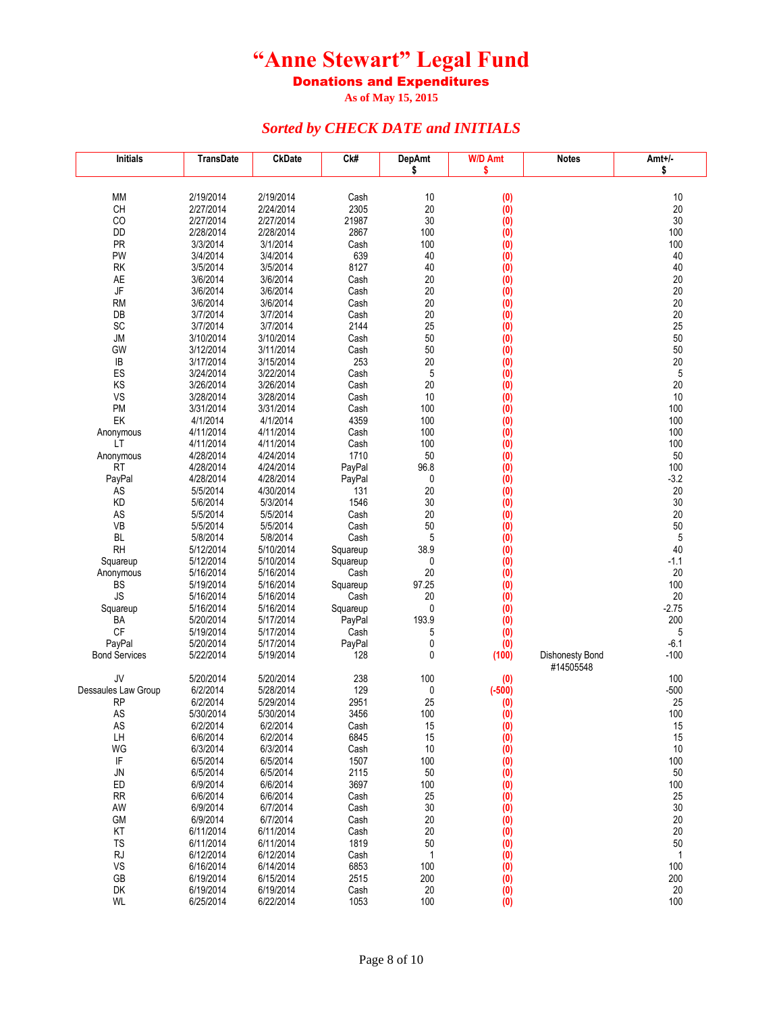Donations and Expenditures

**As of May 15, 2015**

| <b>Initials</b>                     | <b>TransDate</b>       | <b>CkDate</b>          | Ck#              | <b>DepAmt</b>      | <b>W/D Amt</b>                | <b>Notes</b>                 | Amt+/-             |
|-------------------------------------|------------------------|------------------------|------------------|--------------------|-------------------------------|------------------------------|--------------------|
|                                     |                        |                        |                  | \$                 | \$                            |                              | \$                 |
|                                     |                        |                        |                  |                    |                               |                              |                    |
| MM<br>CH                            | 2/19/2014<br>2/27/2014 | 2/19/2014<br>2/24/2014 | Cash<br>2305     | 10<br>20           | (0)<br>(0)                    |                              | 10<br>20           |
| CO                                  | 2/27/2014              | 2/27/2014              | 21987            | 30                 | (0)                           |                              | 30                 |
| DD                                  | 2/28/2014              | 2/28/2014              | 2867             | 100                | (0)                           |                              | 100                |
| PR                                  | 3/3/2014               | 3/1/2014               | Cash             | 100                | (0)                           |                              | 100                |
| PW                                  | 3/4/2014               | 3/4/2014               | 639              | 40                 | $\overline{(0)}$              |                              | 40                 |
| RK                                  | 3/5/2014               | 3/5/2014               | 8127             | 40                 | (0)                           |                              | 40                 |
| AE                                  | 3/6/2014               | 3/6/2014               | Cash             | 20                 | $\overline{(0)}$              |                              | $20\,$             |
| $\mathsf{J}\mathsf{F}$<br><b>RM</b> | 3/6/2014<br>3/6/2014   | 3/6/2014<br>3/6/2014   | Cash<br>Cash     | 20<br>20           | (0)<br>$\dot{1}$              |                              | 20<br>20           |
| DB                                  | 3/7/2014               | 3/7/2014               | Cash             | 20                 | (0)                           |                              | 20                 |
| SC                                  | 3/7/2014               | 3/7/2014               | 2144             | 25                 | (0)                           |                              | 25                 |
| <b>JM</b>                           | 3/10/2014              | 3/10/2014              | Cash             | 50                 | (0)                           |                              | 50                 |
| GW                                  | 3/12/2014              | 3/11/2014              | Cash             | 50                 | (0)                           |                              | 50                 |
| IB                                  | 3/17/2014              | 3/15/2014              | 253              | 20                 | (0)                           |                              | 20                 |
| ES                                  | 3/24/2014              | 3/22/2014              | Cash             | 5                  | (0)                           |                              | $\sqrt{5}$         |
| KS<br>VS                            | 3/26/2014<br>3/28/2014 | 3/26/2014<br>3/28/2014 | Cash<br>Cash     | 20<br>10           | (0)<br>(0)                    |                              | 20<br>10           |
| PM                                  | 3/31/2014              | 3/31/2014              | Cash             | 100                | (0)                           |                              | 100                |
| EK                                  | 4/1/2014               | 4/1/2014               | 4359             | 100                | (0)                           |                              | 100                |
| Anonymous                           | 4/11/2014              | 4/11/2014              | Cash             | 100                | (0)                           |                              | 100                |
| LT                                  | 4/11/2014              | 4/11/2014              | Cash             | 100                | (0)                           |                              | 100                |
| Anonymous                           | 4/28/2014              | 4/24/2014              | 1710             | 50                 | (0)                           |                              | 50                 |
| <b>RT</b>                           | 4/28/2014              | 4/24/2014              | PayPal           | 96.8               | $\overline{(0)}$              |                              | 100                |
| PayPal                              | 4/28/2014              | 4/28/2014              | PayPal<br>131    | 0<br>20            | $\overline{(0)}$              |                              | $-3.2$<br>20       |
| AS<br>KD                            | 5/5/2014<br>5/6/2014   | 4/30/2014<br>5/3/2014  | 1546             | 30                 | $\overline{(0)}$<br>$\dot{1}$ |                              | 30                 |
| AS                                  | 5/5/2014               | 5/5/2014               | Cash             | 20                 | (0)                           |                              | 20                 |
| VB                                  | 5/5/2014               | 5/5/2014               | Cash             | 50                 | (0)                           |                              | 50                 |
| <b>BL</b>                           | 5/8/2014               | 5/8/2014               | Cash             | 5                  | (0)                           |                              | $\mathbf 5$        |
| <b>RH</b>                           | 5/12/2014              | 5/10/2014              | Squareup         | 38.9               | (0)                           |                              | 40                 |
| Squareup                            | 5/12/2014              | 5/10/2014              | Squareup         | 0                  | (0)                           |                              | $-1.1$             |
| Anonymous                           | 5/16/2014              | 5/16/2014              | Cash             | 20                 | (0)                           |                              | $20\,$<br>100      |
| <b>BS</b><br><b>JS</b>              | 5/19/2014<br>5/16/2014 | 5/16/2014<br>5/16/2014 | Squareup<br>Cash | 97.25<br>20        | (0)<br>(0)                    |                              | 20                 |
| Squareup                            | 5/16/2014              | 5/16/2014              | Squareup         | 0                  | (0)                           |                              | $-2.75$            |
| BA                                  | 5/20/2014              | 5/17/2014              | PayPal           | 193.9              | (0)                           |                              | 200                |
| <b>CF</b>                           | 5/19/2014              | 5/17/2014              | Cash             | 5                  | (0)                           |                              | 5                  |
| PayPal                              | 5/20/2014              | 5/17/2014              | PayPal           | 0                  | (0)                           |                              | $-6.1$             |
| <b>Bond Services</b>                | 5/22/2014              | 5/19/2014              | 128              | 0                  | (100)                         | Dishonesty Bond<br>#14505548 | $-100$             |
| JV                                  | 5/20/2014              | 5/20/2014              | 238              | 100                | (0)                           |                              | 100                |
| Dessaules Law Group                 | 6/2/2014               | 5/28/2014              | 129              | 0                  | $(-500)$                      |                              | $-500$             |
| <b>RP</b>                           | 6/2/2014               | 5/29/2014              | 2951             | 25                 | (0)                           |                              | 25                 |
| AS                                  | 5/30/2014              | 5/30/2014              | 3456             | 100                | (0)                           |                              | 100                |
| AS                                  | 6/2/2014               | 6/2/2014               | Cash             | 15                 | (0)                           |                              | 15                 |
| LH<br>WG                            | 6/6/2014<br>6/3/2014   | 6/2/2014<br>6/3/2014   | 6845<br>Cash     | 15<br>10           | (0)                           |                              | 15<br>$10$         |
| IF                                  | 6/5/2014               | 6/5/2014               | 1507             | 100                | (0)<br>(0)                    |                              | 100                |
| JN                                  | 6/5/2014               | 6/5/2014               | 2115             | 50                 | (0)                           |                              | 50                 |
| ED                                  | 6/9/2014               | 6/6/2014               | 3697             | 100                | (0)                           |                              | 100                |
| <b>RR</b>                           | 6/6/2014               | 6/6/2014               | Cash             | 25                 | (0)                           |                              | 25                 |
| AW                                  | 6/9/2014               | 6/7/2014               | Cash             | 30                 | (0)                           |                              | 30                 |
| GM                                  | 6/9/2014               | 6/7/2014               | Cash             | 20                 | (0)                           |                              | 20                 |
| KT                                  | 6/11/2014              | 6/11/2014              | Cash             | 20                 | (0)                           |                              | 20                 |
| TS<br><b>RJ</b>                     | 6/11/2014<br>6/12/2014 | 6/11/2014<br>6/12/2014 | 1819<br>Cash     | 50<br>$\mathbf{1}$ | (0)<br>(0)                    |                              | 50<br>$\mathbf{1}$ |
| VS                                  | 6/16/2014              | 6/14/2014              | 6853             | 100                | (0)                           |                              | 100                |
| GB                                  | 6/19/2014              | 6/15/2014              | 2515             | 200                | (0)                           |                              | 200                |
| DK                                  | 6/19/2014              | 6/19/2014              | Cash             | 20                 | (0)                           |                              | 20                 |
| WL                                  | 6/25/2014              | 6/22/2014              | 1053             | 100                | (0)                           |                              | 100                |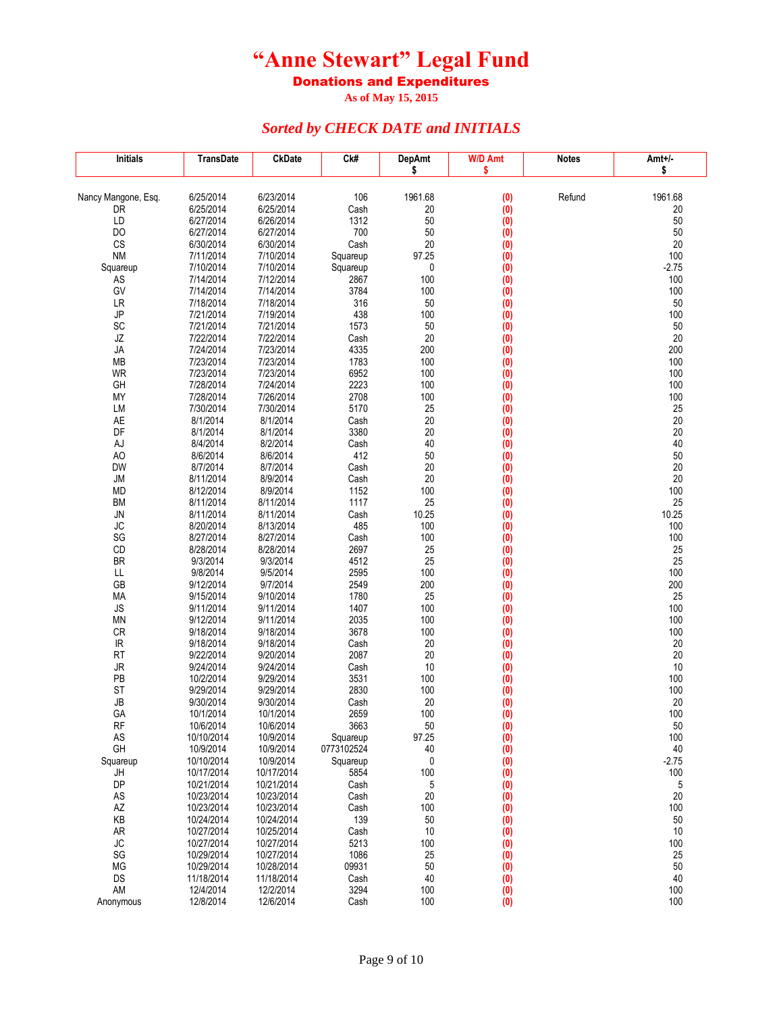Donations and Expenditures

**As of May 15, 2015**

| <b>Initials</b>     | <b>TransDate</b>         | <b>CkDate</b>            | Ck#          | <b>DepAmt</b> | <b>W/D Amt</b> | <b>Notes</b> | Amt+/-        |
|---------------------|--------------------------|--------------------------|--------------|---------------|----------------|--------------|---------------|
|                     |                          |                          |              | \$            | \$             |              | \$            |
|                     |                          |                          |              |               |                |              |               |
| Nancy Mangone, Esq. | 6/25/2014<br>6/25/2014   | 6/23/2014<br>6/25/2014   | 106<br>Cash  | 1961.68<br>20 | (0)            | Refund       | 1961.68<br>20 |
| DR<br>LD            | 6/27/2014                | 6/26/2014                | 1312         | 50            | (0)<br>(0)     |              | 50            |
| DO                  | 6/27/2014                | 6/27/2014                | 700          | 50            | (0)            |              | 50            |
| CS                  | 6/30/2014                | 6/30/2014                | Cash         | 20            | (0)            |              | 20            |
| <b>NM</b>           | 7/11/2014                | 7/10/2014                | Squareup     | 97.25         | (0)            |              | 100           |
| Squareup            | 7/10/2014                | 7/10/2014                | Squareup     | 0             | (0)            |              | $-2.75$       |
| ${\sf AS}$          | 7/14/2014                | 7/12/2014                | 2867         | 100           | (0)            |              | 100           |
| GV                  | 7/14/2014                | 7/14/2014                | 3784         | 100           | (0)            |              | 100           |
| LR                  | 7/18/2014                | 7/18/2014                | 316          | 50            | (0)            |              | 50            |
| JP                  | 7/21/2014                | 7/19/2014                | 438          | 100           | (0)            |              | 100           |
| SC                  | 7/21/2014                | 7/21/2014                | 1573         | 50            | (0)            |              | 50            |
| JZ                  | 7/22/2014                | 7/22/2014                | Cash         | 20            | (0)            |              | 20            |
| JA                  | 7/24/2014                | 7/23/2014                | 4335         | 200           | (0)            |              | 200           |
| MB                  | 7/23/2014                | 7/23/2014                | 1783         | 100           | (0)            |              | 100           |
| WR                  | 7/23/2014                | 7/23/2014                | 6952         | 100           | (0)            |              | 100           |
| GH                  | 7/28/2014                | 7/24/2014                | 2223         | 100           | (0)            |              | 100           |
| MY                  | 7/28/2014                | 7/26/2014                | 2708         | 100           | (0)            |              | 100           |
| LM<br>AE            | 7/30/2014<br>8/1/2014    | 7/30/2014<br>8/1/2014    | 5170<br>Cash | 25<br>20      | (0)            |              | 25<br>20      |
| DF                  | 8/1/2014                 | 8/1/2014                 | 3380         | 20            | (0)            |              | 20            |
| AJ                  | 8/4/2014                 | 8/2/2014                 | Cash         | 40            | (0)<br>(0)     |              | 40            |
| AO                  | 8/6/2014                 | 8/6/2014                 | 412          | 50            | (0)            |              | 50            |
| DW                  | 8/7/2014                 | 8/7/2014                 | Cash         | 20            | (0)            |              | 20            |
| <b>JM</b>           | 8/11/2014                | 8/9/2014                 | Cash         | 20            | (0)            |              | 20            |
| <b>MD</b>           | 8/12/2014                | 8/9/2014                 | 1152         | 100           | (0)            |              | 100           |
| <b>BM</b>           | 8/11/2014                | 8/11/2014                | 1117         | 25            | (0)            |              | 25            |
| JN                  | 8/11/2014                | 8/11/2014                | Cash         | 10.25         | (0)            |              | 10.25         |
| JC                  | 8/20/2014                | 8/13/2014                | 485          | 100           | (0)            |              | 100           |
| SG                  | 8/27/2014                | 8/27/2014                | Cash         | 100           | (0)            |              | 100           |
| CD                  | 8/28/2014                | 8/28/2014                | 2697         | 25            | (0)            |              | 25            |
| <b>BR</b>           | 9/3/2014                 | 9/3/2014                 | 4512         | 25            | (0)            |              | 25            |
| LL                  | 9/8/2014                 | 9/5/2014                 | 2595         | 100           | (0)            |              | 100           |
| GB                  | 9/12/2014                | 9/7/2014                 | 2549         | 200           | (0)            |              | 200           |
| MA                  | 9/15/2014                | 9/10/2014                | 1780         | 25            | (0)            |              | 25            |
| <b>JS</b>           | 9/11/2014                | 9/11/2014                | 1407         | 100           | (0)            |              | 100           |
| <b>MN</b>           | 9/12/2014                | 9/11/2014                | 2035<br>3678 | 100<br>100    | (0)            |              | 100<br>100    |
| CR<br>IR            | 9/18/2014<br>9/18/2014   | 9/18/2014<br>9/18/2014   | Cash         | 20            | (0)<br>(0)     |              | 20            |
| <b>RT</b>           | 9/22/2014                | 9/20/2014                | 2087         | 20            | (0)            |              | 20            |
| JR                  | 9/24/2014                | 9/24/2014                | Cash         | 10            | (0)            |              | 10            |
| PB                  | 10/2/2014                | 9/29/2014                | 3531         | 100           | (0)            |              | 100           |
| <b>ST</b>           | 9/29/2014                | 9/29/2014                | 2830         | 100           | (0)            |              | 100           |
| <b>JB</b>           | 9/30/2014                | 9/30/2014                | Cash         | 20            | (0)            |              | 20            |
| GА                  | 10/1/2014                | 10/1/2014                | 2659         | 100           | (0)            |              | 100           |
| <b>RF</b>           | 10/6/2014                | 10/6/2014                | 3663         | 50            | (0)            |              | $50\,$        |
| AS                  | 10/10/2014               | 10/9/2014                | Squareup     | 97.25         | (0)            |              | 100           |
| GH                  | 10/9/2014                | 10/9/2014                | 0773102524   | 40            | (0)            |              | 40            |
| Squareup            | 10/10/2014               | 10/9/2014                | Squareup     | 0             | (0)            |              | $-2.75$       |
| JH                  | 10/17/2014               | 10/17/2014               | 5854         | 100           | (0)            |              | 100           |
| DP                  | 10/21/2014               | 10/21/2014               | Cash         | 5             | (0)            |              | 5             |
| AS                  | 10/23/2014               | 10/23/2014               | Cash         | 20            | (0)            |              | 20            |
| AZ                  | 10/23/2014<br>10/24/2014 | 10/23/2014<br>10/24/2014 | Cash         | 100           | (0)            |              | 100           |
| KB                  | 10/27/2014               | 10/25/2014               | 139<br>Cash  | 50<br>10      | (0)            |              | 50<br>10      |
| <b>AR</b><br>JC     | 10/27/2014               | 10/27/2014               | 5213         | 100           | (0)<br>(0)     |              | 100           |
| SG                  | 10/29/2014               | 10/27/2014               | 1086         | 25            | (0)            |              | 25            |
| MG                  | 10/29/2014               | 10/28/2014               | 09931        | 50            | (0)            |              | 50            |
| DS                  | 11/18/2014               | 11/18/2014               | Cash         | 40            | (0)            |              | 40            |
| AM                  | 12/4/2014                | 12/2/2014                | 3294         | 100           | (0)            |              | 100           |
| Anonymous           | 12/8/2014                | 12/6/2014                | Cash         | 100           | (0)            |              | 100           |